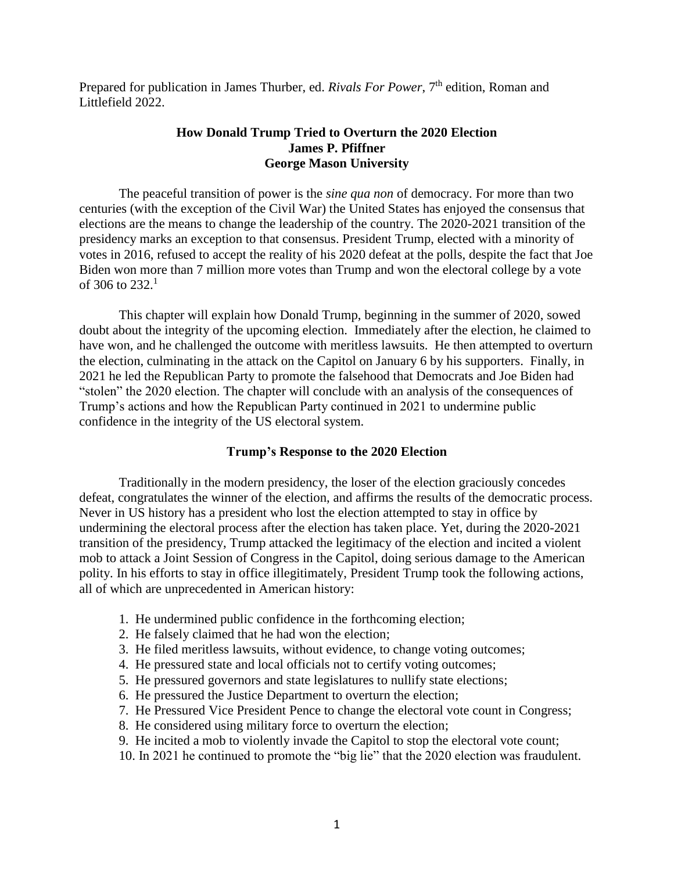Prepared for publication in James Thurber, ed. *Rivals For Power*, 7<sup>th</sup> edition, Roman and Littlefield 2022.

# **How Donald Trump Tried to Overturn the 2020 Election James P. Pfiffner George Mason University**

The peaceful transition of power is the *sine qua non* of democracy. For more than two centuries (with the exception of the Civil War) the United States has enjoyed the consensus that elections are the means to change the leadership of the country. The 2020-2021 transition of the presidency marks an exception to that consensus. President Trump, elected with a minority of votes in 2016, refused to accept the reality of his 2020 defeat at the polls, despite the fact that Joe Biden won more than 7 million more votes than Trump and won the electoral college by a vote of 306 to 232.<sup>1</sup>

This chapter will explain how Donald Trump, beginning in the summer of 2020, sowed doubt about the integrity of the upcoming election. Immediately after the election, he claimed to have won, and he challenged the outcome with meritless lawsuits. He then attempted to overturn the election, culminating in the attack on the Capitol on January 6 by his supporters. Finally, in 2021 he led the Republican Party to promote the falsehood that Democrats and Joe Biden had "stolen" the 2020 election. The chapter will conclude with an analysis of the consequences of Trump's actions and how the Republican Party continued in 2021 to undermine public confidence in the integrity of the US electoral system.

#### **Trump's Response to the 2020 Election**

Traditionally in the modern presidency, the loser of the election graciously concedes defeat, congratulates the winner of the election, and affirms the results of the democratic process. Never in US history has a president who lost the election attempted to stay in office by undermining the electoral process after the election has taken place. Yet, during the 2020-2021 transition of the presidency, Trump attacked the legitimacy of the election and incited a violent mob to attack a Joint Session of Congress in the Capitol, doing serious damage to the American polity. In his efforts to stay in office illegitimately, President Trump took the following actions, all of which are unprecedented in American history:

- 1. He undermined public confidence in the forthcoming election;
- 2. He falsely claimed that he had won the election;
- 3. He filed meritless lawsuits, without evidence, to change voting outcomes;
- 4. He pressured state and local officials not to certify voting outcomes;
- 5. He pressured governors and state legislatures to nullify state elections;
- 6. He pressured the Justice Department to overturn the election;
- 7. He Pressured Vice President Pence to change the electoral vote count in Congress;
- 8. He considered using military force to overturn the election;
- 9. He incited a mob to violently invade the Capitol to stop the electoral vote count;
- 10. In 2021 he continued to promote the "big lie" that the 2020 election was fraudulent.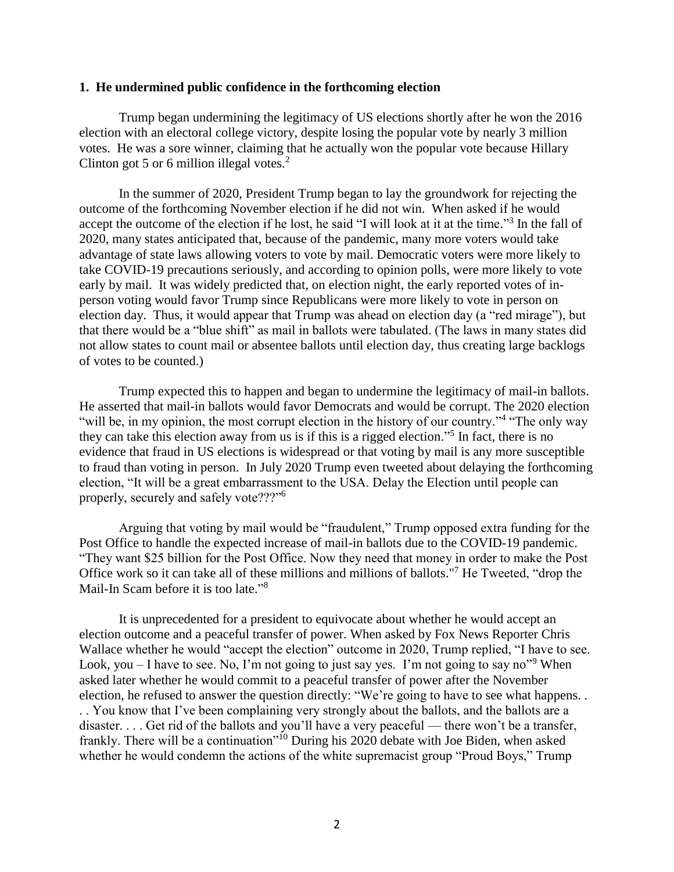#### **1. He undermined public confidence in the forthcoming election**

Trump began undermining the legitimacy of US elections shortly after he won the 2016 election with an electoral college victory, despite losing the popular vote by nearly 3 million votes. He was a sore winner, claiming that he actually won the popular vote because Hillary Clinton got 5 or 6 million illegal votes. $2$ 

In the summer of 2020, President Trump began to lay the groundwork for rejecting the outcome of the forthcoming November election if he did not win. When asked if he would accept the outcome of the election if he lost, he said "I will look at it at the time."<sup>3</sup> In the fall of 2020, many states anticipated that, because of the pandemic, many more voters would take advantage of state laws allowing voters to vote by mail. Democratic voters were more likely to take COVID-19 precautions seriously, and according to opinion polls, were more likely to vote early by mail. It was widely predicted that, on election night, the early reported votes of inperson voting would favor Trump since Republicans were more likely to vote in person on election day. Thus, it would appear that Trump was ahead on election day (a "red mirage"), but that there would be a "blue shift" as mail in ballots were tabulated. (The laws in many states did not allow states to count mail or absentee ballots until election day, thus creating large backlogs of votes to be counted.)

Trump expected this to happen and began to undermine the legitimacy of mail-in ballots. He asserted that mail-in ballots would favor Democrats and would be corrupt. The 2020 election "will be, in my opinion, the most corrupt election in the history of our country."<sup>4</sup> "The only way" they can take this election away from us is if this is a rigged election." 5 In fact, there is no evidence that fraud in US elections is widespread or that voting by mail is any more susceptible to fraud than voting in person. In July 2020 Trump even tweeted about delaying the forthcoming election, "It will be a great embarrassment to the USA. Delay the Election until people can properly, securely and safely vote???"<sup>6</sup>

Arguing that voting by mail would be "fraudulent," Trump opposed extra funding for the Post Office to handle the expected increase of mail-in ballots due to the COVID-19 pandemic. "They want \$25 billion for the Post Office. Now they need that money in order to make the Post Office work so it can take all of these millions and millions of ballots."<sup>7</sup> He Tweeted, "drop the Mail-In Scam before it is too late."<sup>8</sup>

It is unprecedented for a president to equivocate about whether he would accept an election outcome and a peaceful transfer of power. When asked by Fox News Reporter Chris Wallace whether he would "accept the election" outcome in 2020, Trump replied, "I have to see. Look, you  $-$  I have to see. No, I'm not going to just say yes. I'm not going to say no"<sup>9</sup> When asked later whether he would commit to a peaceful transfer of power after the November election, he refused to answer the question directly: "We're going to have to see what happens. . . . You know that I've been complaining very strongly about the ballots, and the ballots are a disaster. . . . Get rid of the ballots and you'll have a very peaceful — there won't be a transfer, frankly. There will be a continuation"<sup>10</sup> During his 2020 debate with Joe Biden, when asked whether he would condemn the actions of the white supremacist group "Proud Boys," Trump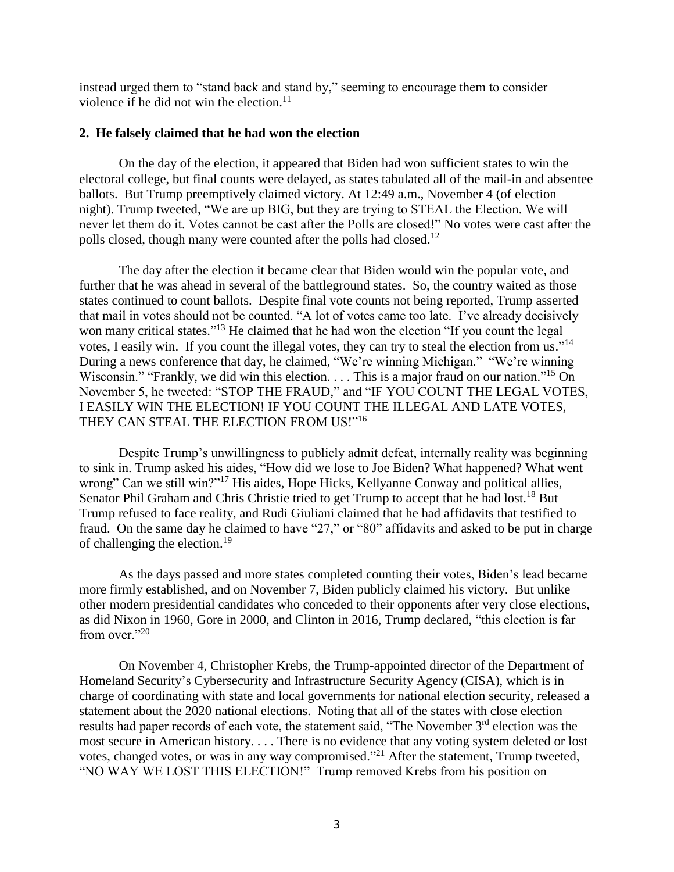instead urged them to "stand back and stand by," seeming to encourage them to consider violence if he did not win the election.<sup>11</sup>

### **2. He falsely claimed that he had won the election**

On the day of the election, it appeared that Biden had won sufficient states to win the electoral college, but final counts were delayed, as states tabulated all of the mail-in and absentee ballots. But Trump preemptively claimed victory. At 12:49 a.m., November 4 (of election night). Trump tweeted, "We are up BIG, but they are trying to STEAL the Election. We will never let them do it. Votes cannot be cast after the Polls are closed!" No votes were cast after the polls closed, though many were counted after the polls had closed.<sup>12</sup>

The day after the election it became clear that Biden would win the popular vote, and further that he was ahead in several of the battleground states. So, the country waited as those states continued to count ballots. Despite final vote counts not being reported, Trump asserted that mail in votes should not be counted. "A lot of votes came too late. I've already decisively won many critical states."<sup>13</sup> He claimed that he had won the election "If you count the legal votes, I easily win. If you count the illegal votes, they can try to steal the election from us."<sup>14</sup> During a news conference that day, he claimed, "We're winning Michigan." "We're winning Wisconsin." "Frankly, we did win this election. . . . This is a major fraud on our nation."<sup>15</sup> On November 5, he tweeted: "STOP THE FRAUD," and "IF YOU COUNT THE LEGAL VOTES, I EASILY WIN THE ELECTION! IF YOU COUNT THE ILLEGAL AND LATE VOTES, THEY CAN STEAL THE ELECTION FROM US!"<sup>16</sup>

Despite Trump's unwillingness to publicly admit defeat, internally reality was beginning to sink in. Trump asked his aides, "How did we lose to Joe Biden? What happened? What went wrong" Can we still win?"<sup>17</sup> His aides, Hope Hicks, Kellyanne Conway and political allies, Senator Phil Graham and Chris Christie tried to get Trump to accept that he had lost.<sup>18</sup> But Trump refused to face reality, and Rudi Giuliani claimed that he had affidavits that testified to fraud. On the same day he claimed to have "27," or "80" affidavits and asked to be put in charge of challenging the election.<sup>19</sup>

As the days passed and more states completed counting their votes, Biden's lead became more firmly established, and on November 7, Biden publicly claimed his victory. But unlike other modern presidential candidates who conceded to their opponents after very close elections, as did Nixon in 1960, Gore in 2000, and Clinton in 2016, Trump declared, "this election is far from over."20

On November 4, Christopher Krebs, the Trump-appointed director of the Department of Homeland Security's Cybersecurity and Infrastructure Security Agency (CISA), which is in charge of coordinating with state and local governments for national election security, released a statement about the 2020 national elections. Noting that all of the states with close election results had paper records of each vote, the statement said, "The November 3<sup>rd</sup> election was the most secure in American history. . . . There is no evidence that any voting system deleted or lost votes, changed votes, or was in any way compromised."<sup>21</sup> After the statement, Trump tweeted, "NO WAY WE LOST THIS ELECTION!" Trump removed Krebs from his position on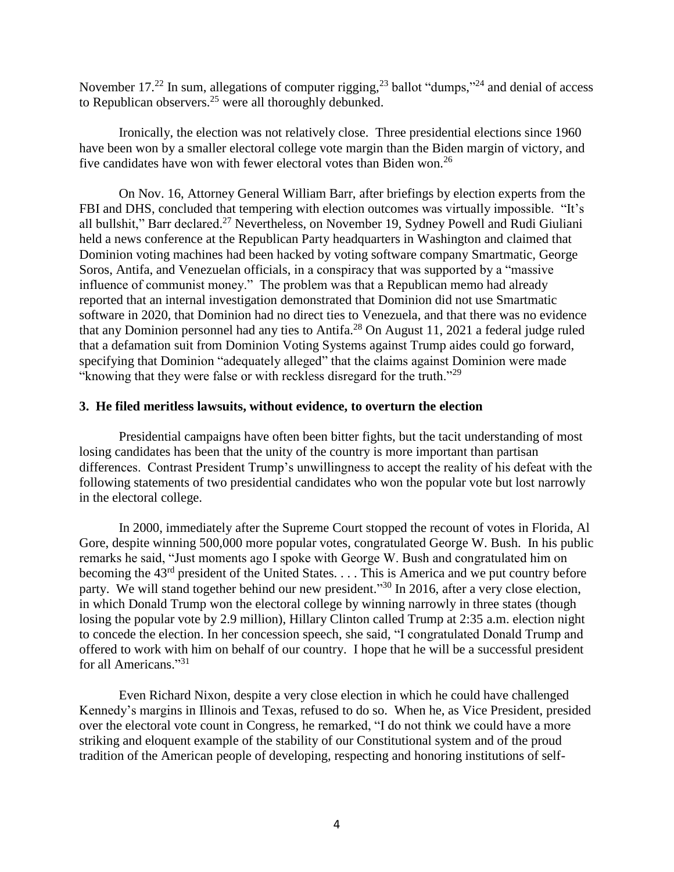November 17.<sup>22</sup> In sum, allegations of computer rigging,  $2<sup>3</sup>$  ballot "dumps,"<sup>24</sup> and denial of access to Republican observers.<sup>25</sup> were all thoroughly debunked.

Ironically, the election was not relatively close. Three presidential elections since 1960 have been won by a smaller electoral college vote margin than the Biden margin of victory, and five candidates have won with fewer electoral votes than Biden won.<sup>26</sup>

On Nov. 16, Attorney General William Barr, after briefings by election experts from the FBI and DHS, concluded that tempering with election outcomes was virtually impossible. "It's all bullshit," Barr declared.<sup>27</sup> Nevertheless, on November 19, Sydney Powell and Rudi Giuliani held a news conference at the Republican Party headquarters in Washington and claimed that Dominion voting machines had been hacked by voting software company Smartmatic, George Soros, Antifa, and Venezuelan officials, in a conspiracy that was supported by a "massive influence of communist money." The problem was that a Republican memo had already reported that an internal investigation demonstrated that Dominion did not use Smartmatic software in 2020, that Dominion had no direct ties to Venezuela, and that there was no evidence that any Dominion personnel had any ties to Antifa.<sup>28</sup> On August 11, 2021 a federal judge ruled that a defamation suit from Dominion Voting Systems against Trump aides could go forward, specifying that Dominion "adequately alleged" that the claims against Dominion were made "knowing that they were false or with reckless disregard for the truth."<sup>29</sup>

## **3. He filed meritless lawsuits, without evidence, to overturn the election**

Presidential campaigns have often been bitter fights, but the tacit understanding of most losing candidates has been that the unity of the country is more important than partisan differences. Contrast President Trump's unwillingness to accept the reality of his defeat with the following statements of two presidential candidates who won the popular vote but lost narrowly in the electoral college.

In 2000, immediately after the Supreme Court stopped the recount of votes in Florida, Al Gore, despite winning 500,000 more popular votes, congratulated George W. Bush. In his public remarks he said, "Just moments ago I spoke with George W. Bush and congratulated him on becoming the  $43<sup>rd</sup>$  president of the United States.  $\dots$  This is America and we put country before party. We will stand together behind our new president."<sup>30</sup> In 2016, after a very close election, in which Donald Trump won the electoral college by winning narrowly in three states (though losing the popular vote by 2.9 million), Hillary Clinton called Trump at 2:35 a.m. election night to concede the election. In her concession speech, she said, "I congratulated Donald Trump and offered to work with him on behalf of our country. I hope that he will be a successful president for all Americans."<sup>31</sup>

Even Richard Nixon, despite a very close election in which he could have challenged Kennedy's margins in Illinois and Texas, refused to do so. When he, as Vice President, presided over the electoral vote count in Congress, he remarked, "I do not think we could have a more striking and eloquent example of the stability of our Constitutional system and of the proud tradition of the American people of developing, respecting and honoring institutions of self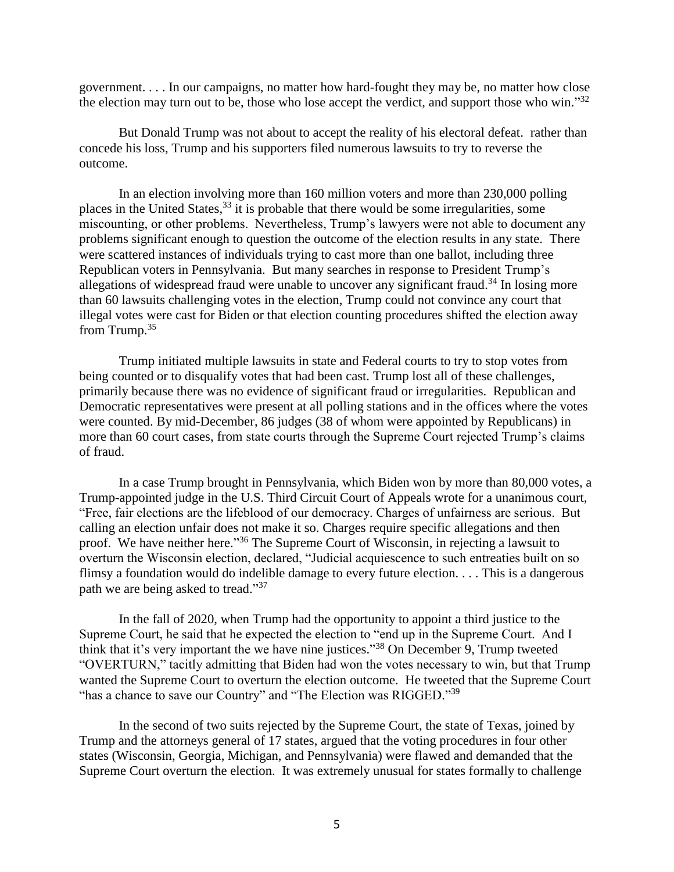government. . . . In our campaigns, no matter how hard-fought they may be, no matter how close the election may turn out to be, those who lose accept the verdict, and support those who win." $32$ 

But Donald Trump was not about to accept the reality of his electoral defeat. rather than concede his loss, Trump and his supporters filed numerous lawsuits to try to reverse the outcome.

In an election involving more than 160 million voters and more than 230,000 polling places in the United States,<sup>33</sup> it is probable that there would be some irregularities, some miscounting, or other problems. Nevertheless, Trump's lawyers were not able to document any problems significant enough to question the outcome of the election results in any state. There were scattered instances of individuals trying to cast more than one ballot, including three Republican voters in Pennsylvania. But many searches in response to President Trump's allegations of widespread fraud were unable to uncover any significant fraud.<sup>34</sup> In losing more than 60 lawsuits challenging votes in the election, Trump could not convince any court that illegal votes were cast for Biden or that election counting procedures shifted the election away from Trump.<sup>35</sup>

Trump initiated multiple lawsuits in state and Federal courts to try to stop votes from being counted or to disqualify votes that had been cast. Trump lost all of these challenges, primarily because there was no evidence of significant fraud or irregularities. Republican and Democratic representatives were present at all polling stations and in the offices where the votes were counted. By mid-December, 86 judges (38 of whom were appointed by Republicans) in more than 60 court cases, from state courts through the Supreme Court rejected Trump's claims of fraud.

In a case Trump brought in Pennsylvania, which Biden won by more than 80,000 votes, a Trump-appointed judge in the U.S. Third Circuit Court of Appeals wrote for a unanimous court, "Free, fair elections are the lifeblood of our democracy. Charges of unfairness are serious. But calling an election unfair does not make it so. Charges require specific allegations and then proof. We have neither here."<sup>36</sup> The Supreme Court of Wisconsin, in rejecting a lawsuit to overturn the Wisconsin election, declared, "Judicial acquiescence to such entreaties built on so flimsy a foundation would do indelible damage to every future election. . . . This is a dangerous path we are being asked to tread."<sup>37</sup>

In the fall of 2020, when Trump had the opportunity to appoint a third justice to the Supreme Court, he said that he expected the election to "end up in the Supreme Court. And I think that it's very important the we have nine justices."<sup>38</sup> On December 9, Trump tweeted "OVERTURN," tacitly admitting that Biden had won the votes necessary to win, but that Trump wanted the Supreme Court to overturn the election outcome. He tweeted that the Supreme Court "has a chance to save our Country" and "The Election was RIGGED."<sup>39</sup>

In the second of two suits rejected by the Supreme Court, the state of Texas, joined by Trump and the attorneys general of 17 states, argued that the voting procedures in four other states (Wisconsin, Georgia, Michigan, and Pennsylvania) were flawed and demanded that the Supreme Court overturn the election. It was extremely unusual for states formally to challenge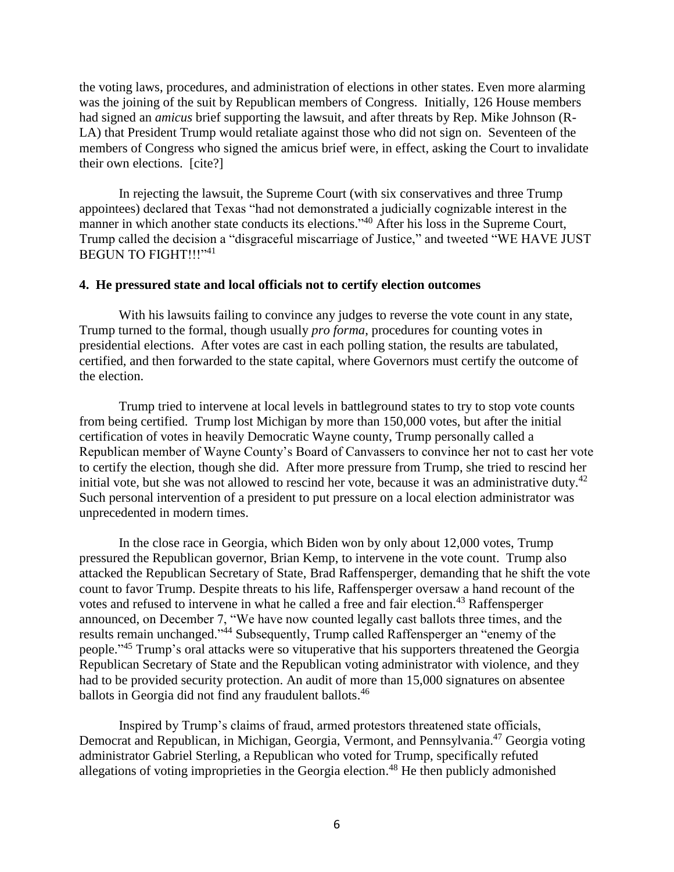the voting laws, procedures, and administration of elections in other states. Even more alarming was the joining of the suit by Republican members of Congress. Initially, 126 House members had signed an *amicus* brief supporting the lawsuit, and after threats by Rep. Mike Johnson (R-LA) that President Trump would retaliate against those who did not sign on. Seventeen of the members of Congress who signed the amicus brief were, in effect, asking the Court to invalidate their own elections. [cite?]

In rejecting the lawsuit, the Supreme Court (with six conservatives and three Trump appointees) declared that Texas "had not demonstrated a judicially cognizable interest in the manner in which another state conducts its elections."<sup>40</sup> After his loss in the Supreme Court, Trump called the decision a "disgraceful miscarriage of Justice," and tweeted "WE HAVE JUST BEGUN TO FIGHT!!!"<sup>41</sup>

## **4. He pressured state and local officials not to certify election outcomes**

With his lawsuits failing to convince any judges to reverse the vote count in any state, Trump turned to the formal, though usually *pro forma*, procedures for counting votes in presidential elections. After votes are cast in each polling station, the results are tabulated, certified, and then forwarded to the state capital, where Governors must certify the outcome of the election.

Trump tried to intervene at local levels in battleground states to try to stop vote counts from being certified. Trump lost Michigan by more than 150,000 votes, but after the initial certification of votes in heavily Democratic Wayne county, Trump personally called a Republican member of Wayne County's Board of Canvassers to convince her not to cast her vote to certify the election, though she did. After more pressure from Trump, she tried to rescind her initial vote, but she was not allowed to rescind her vote, because it was an administrative duty.<sup>42</sup> Such personal intervention of a president to put pressure on a local election administrator was unprecedented in modern times.

In the close race in Georgia, which Biden won by only about 12,000 votes, Trump pressured the Republican governor, Brian Kemp, to intervene in the vote count. Trump also attacked the Republican Secretary of State, Brad Raffensperger, demanding that he shift the vote count to favor Trump. Despite threats to his life, Raffensperger oversaw a hand recount of the votes and refused to intervene in what he called a free and fair election.<sup>43</sup> Raffensperger announced, on December 7, "We have now counted legally cast ballots three times, and the results remain unchanged."<sup>44</sup> Subsequently, Trump called Raffensperger an "enemy of the people."<sup>45</sup> Trump's oral attacks were so vituperative that his supporters threatened the Georgia Republican Secretary of State and the Republican voting administrator with violence, and they had to be provided security protection. An audit of more than 15,000 signatures on absentee ballots in Georgia did not find any fraudulent ballots.<sup>46</sup>

Inspired by Trump's claims of fraud, armed protestors threatened state officials, Democrat and Republican, in Michigan, Georgia, Vermont, and Pennsylvania.<sup>47</sup> Georgia voting administrator Gabriel Sterling, a Republican who voted for Trump, specifically refuted allegations of voting improprieties in the Georgia election. <sup>48</sup> He then publicly admonished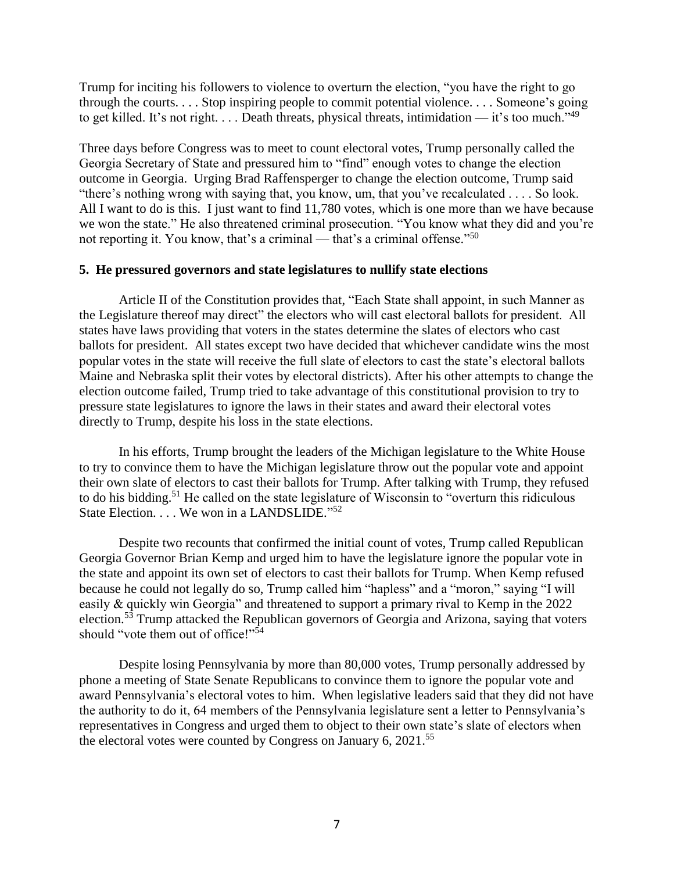Trump for inciting his followers to violence to overturn the election, "you have the right to go through the courts. . . . Stop inspiring people to commit potential violence. . . . Someone's going to get killed. It's not right. . . . Death threats, physical threats, intimidation — it's too much."<sup>49</sup>

Three days before Congress was to meet to count electoral votes, Trump personally called the Georgia Secretary of State and pressured him to "find" enough votes to change the election outcome in Georgia. Urging Brad Raffensperger to change the election outcome, Trump said "there's nothing wrong with saying that, you know, um, that you've recalculated . . . . So look. All I want to do is this. I just want to find 11,780 votes, which is one more than we have because we won the state." He also threatened criminal prosecution. "You know what they did and you're not reporting it. You know, that's a criminal — that's a criminal offense."<sup>50</sup>

# **5. He pressured governors and state legislatures to nullify state elections**

Article II of the Constitution provides that, "Each State shall appoint, in such Manner as the Legislature thereof may direct" the electors who will cast electoral ballots for president. All states have laws providing that voters in the states determine the slates of electors who cast ballots for president. All states except two have decided that whichever candidate wins the most popular votes in the state will receive the full slate of electors to cast the state's electoral ballots Maine and Nebraska split their votes by electoral districts). After his other attempts to change the election outcome failed, Trump tried to take advantage of this constitutional provision to try to pressure state legislatures to ignore the laws in their states and award their electoral votes directly to Trump, despite his loss in the state elections.

In his efforts, Trump brought the leaders of the Michigan legislature to the White House to try to convince them to have the Michigan legislature throw out the popular vote and appoint their own slate of electors to cast their ballots for Trump. After talking with Trump, they refused to do his bidding.<sup>51</sup> He called on the state legislature of Wisconsin to "overturn this ridiculous State Election. . . . We won in a LANDSLIDE."<sup>52</sup>

Despite two recounts that confirmed the initial count of votes, Trump called Republican Georgia Governor Brian Kemp and urged him to have the legislature ignore the popular vote in the state and appoint its own set of electors to cast their ballots for Trump. When Kemp refused because he could not legally do so, Trump called him "hapless" and a "moron," saying "I will easily & quickly win Georgia" and threatened to support a primary rival to Kemp in the 2022 election.<sup>53</sup> Trump attacked the Republican governors of Georgia and Arizona, saying that voters should "vote them out of office!"<sup>54</sup>

Despite losing Pennsylvania by more than 80,000 votes, Trump personally addressed by phone a meeting of State Senate Republicans to convince them to ignore the popular vote and award Pennsylvania's electoral votes to him. When legislative leaders said that they did not have the authority to do it, 64 members of the Pennsylvania legislature sent a letter to Pennsylvania's representatives in Congress and urged them to object to their own state's slate of electors when the electoral votes were counted by Congress on January 6, 2021.<sup>55</sup>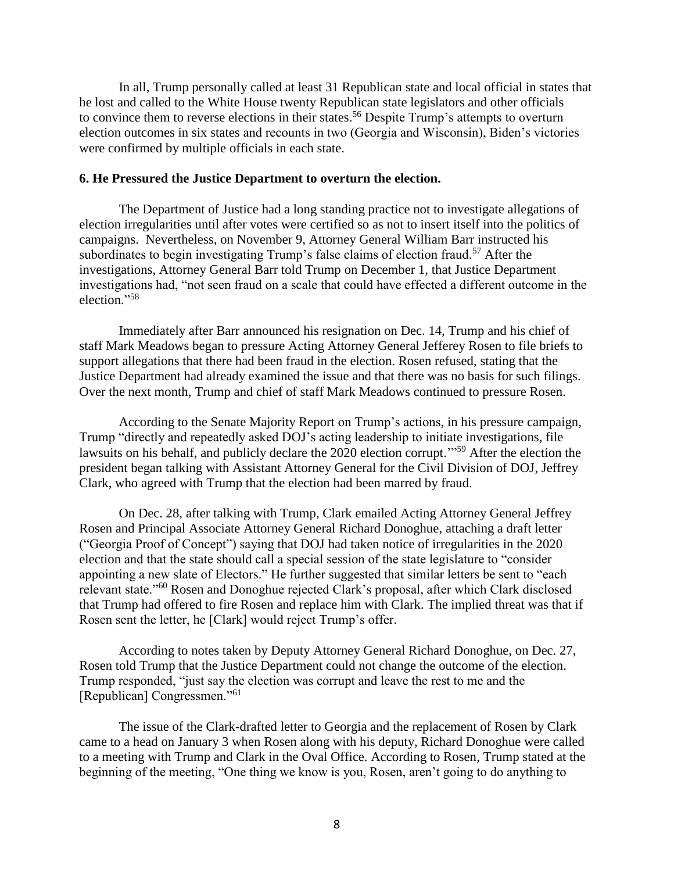In all, Trump personally called at least 31 Republican state and local official in states that he lost and called to the White House twenty Republican state legislators and other officials to convince them to reverse elections in their states.<sup>56</sup> Despite Trump's attempts to overturn election outcomes in six states and recounts in two (Georgia and Wisconsin), Biden's victories were confirmed by multiple officials in each state.

### **6. He Pressured the Justice Department to overturn the election.**

The Department of Justice had a long standing practice not to investigate allegations of election irregularities until after votes were certified so as not to insert itself into the politics of campaigns. Nevertheless, on November 9, Attorney General William Barr instructed his subordinates to begin investigating Trump's false claims of election fraud.<sup>57</sup> After the investigations, Attorney General Barr told Trump on December 1, that Justice Department investigations had, "not seen fraud on a scale that could have effected a different outcome in the election." 58

Immediately after Barr announced his resignation on Dec. 14, Trump and his chief of staff Mark Meadows began to pressure Acting Attorney General Jefferey Rosen to file briefs to support allegations that there had been fraud in the election. Rosen refused, stating that the Justice Department had already examined the issue and that there was no basis for such filings. Over the next month, Trump and chief of staff Mark Meadows continued to pressure Rosen.

According to the Senate Majority Report on Trump's actions, in his pressure campaign, Trump "directly and repeatedly asked DOJ's acting leadership to initiate investigations, file lawsuits on his behalf, and publicly declare the 2020 election corrupt."<sup>59</sup> After the election the president began talking with Assistant Attorney General for the Civil Division of DOJ, Jeffrey Clark, who agreed with Trump that the election had been marred by fraud.

On Dec. 28, after talking with Trump, Clark emailed Acting Attorney General Jeffrey Rosen and Principal Associate Attorney General Richard Donoghue, attaching a draft letter ("Georgia Proof of Concept") saying that DOJ had taken notice of irregularities in the 2020 election and that the state should call a special session of the state legislature to "consider appointing a new slate of Electors." He further suggested that similar letters be sent to "each relevant state."<sup>60</sup> Rosen and Donoghue rejected Clark's proposal, after which Clark disclosed that Trump had offered to fire Rosen and replace him with Clark. The implied threat was that if Rosen sent the letter, he [Clark] would reject Trump's offer.

According to notes taken by Deputy Attorney General Richard Donoghue, on Dec. 27, Rosen told Trump that the Justice Department could not change the outcome of the election. Trump responded, "just say the election was corrupt and leave the rest to me and the [Republican] Congressmen."<sup>61</sup>

The issue of the Clark-drafted letter to Georgia and the replacement of Rosen by Clark came to a head on January 3 when Rosen along with his deputy, Richard Donoghue were called to a meeting with Trump and Clark in the Oval Office. According to Rosen, Trump stated at the beginning of the meeting, "One thing we know is you, Rosen, aren't going to do anything to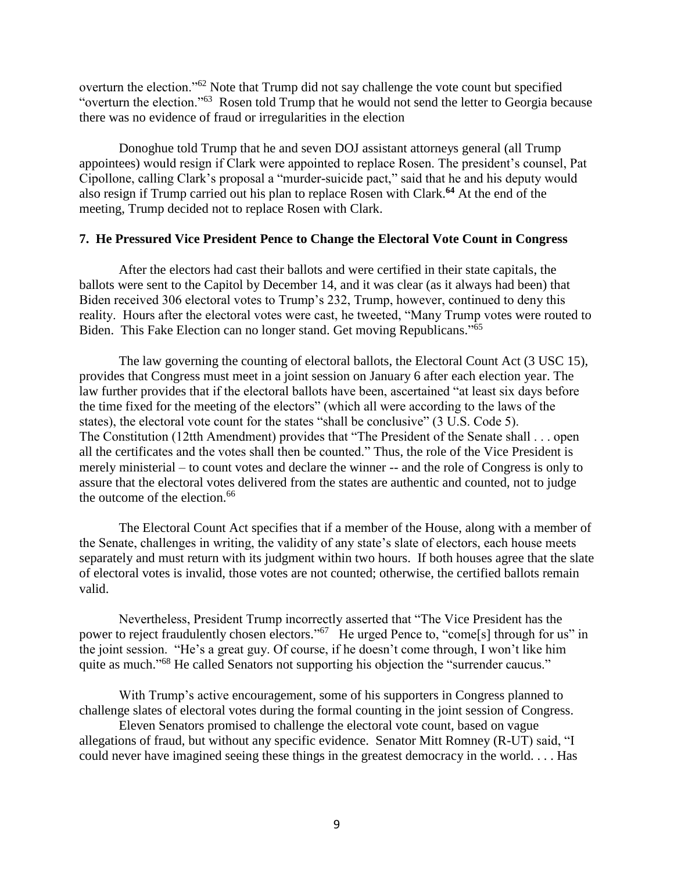overturn the election."<sup>62</sup> Note that Trump did not say challenge the vote count but specified "overturn the election."<sup>63</sup> Rosen told Trump that he would not send the letter to Georgia because there was no evidence of fraud or irregularities in the election

Donoghue told Trump that he and seven DOJ assistant attorneys general (all Trump appointees) would resign if Clark were appointed to replace Rosen. The president's counsel, Pat Cipollone, calling Clark's proposal a "murder-suicide pact," said that he and his deputy would also resign if Trump carried out his plan to replace Rosen with Clark. **<sup>64</sup>** At the end of the meeting, Trump decided not to replace Rosen with Clark.

### **7. He Pressured Vice President Pence to Change the Electoral Vote Count in Congress**

After the electors had cast their ballots and were certified in their state capitals, the ballots were sent to the Capitol by December 14, and it was clear (as it always had been) that Biden received 306 electoral votes to Trump's 232, Trump, however, continued to deny this reality. Hours after the electoral votes were cast, he tweeted, "Many Trump votes were routed to Biden. This Fake Election can no longer stand. Get moving Republicans."<sup>65</sup>

The law governing the counting of electoral ballots, the Electoral Count Act (3 USC 15), provides that Congress must meet in a joint session on January 6 after each election year. The law further provides that if the electoral ballots have been, ascertained "at least six days before the time fixed for the meeting of the electors" (which all were according to the laws of the states), the electoral vote count for the states "shall be conclusive" (3 U.S. Code 5). The Constitution (12tth Amendment) provides that "The President of the Senate shall . . . open all the certificates and the votes shall then be counted." Thus, the role of the Vice President is merely ministerial – to count votes and declare the winner -- and the role of Congress is only to assure that the electoral votes delivered from the states are authentic and counted, not to judge the outcome of the election. 66

The Electoral Count Act specifies that if a member of the House, along with a member of the Senate, challenges in writing, the validity of any state's slate of electors, each house meets separately and must return with its judgment within two hours. If both houses agree that the slate of electoral votes is invalid, those votes are not counted; otherwise, the certified ballots remain valid.

Nevertheless, President Trump incorrectly asserted that "The Vice President has the power to reject fraudulently chosen electors."<sup>67</sup> He urged Pence to, "come<sup>[s]</sup> through for us" in the joint session. "He's a great guy. Of course, if he doesn't come through, I won't like him quite as much."<sup>68</sup> He called Senators not supporting his objection the "surrender caucus."

With Trump's active encouragement, some of his supporters in Congress planned to challenge slates of electoral votes during the formal counting in the joint session of Congress.

Eleven Senators promised to challenge the electoral vote count, based on vague allegations of fraud, but without any specific evidence. Senator Mitt Romney (R-UT) said, "I could never have imagined seeing these things in the greatest democracy in the world. . . . Has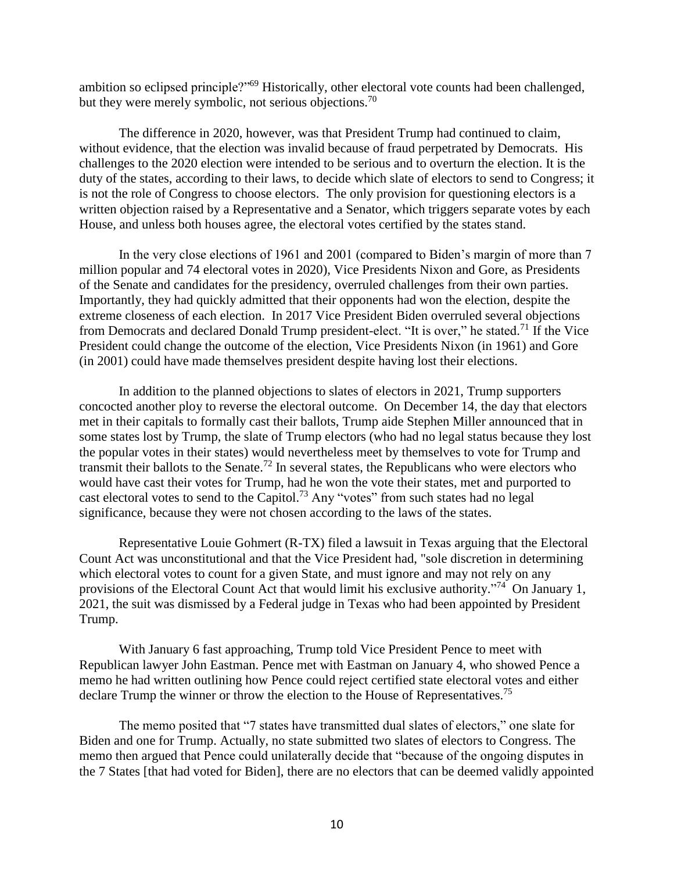ambition so eclipsed principle?"<sup>69</sup> Historically, other electoral vote counts had been challenged, but they were merely symbolic, not serious objections.<sup>70</sup>

The difference in 2020, however, was that President Trump had continued to claim, without evidence, that the election was invalid because of fraud perpetrated by Democrats. His challenges to the 2020 election were intended to be serious and to overturn the election. It is the duty of the states, according to their laws, to decide which slate of electors to send to Congress; it is not the role of Congress to choose electors. The only provision for questioning electors is a written objection raised by a Representative and a Senator, which triggers separate votes by each House, and unless both houses agree, the electoral votes certified by the states stand.

In the very close elections of 1961 and 2001 (compared to Biden's margin of more than 7 million popular and 74 electoral votes in 2020), Vice Presidents Nixon and Gore, as Presidents of the Senate and candidates for the presidency, overruled challenges from their own parties. Importantly, they had quickly admitted that their opponents had won the election, despite the extreme closeness of each election. In 2017 Vice President Biden overruled several objections from Democrats and declared Donald Trump president-elect. "It is over," he stated.<sup>71</sup> If the Vice President could change the outcome of the election, Vice Presidents Nixon (in 1961) and Gore (in 2001) could have made themselves president despite having lost their elections.

In addition to the planned objections to slates of electors in 2021, Trump supporters concocted another ploy to reverse the electoral outcome. On December 14, the day that electors met in their capitals to formally cast their ballots, Trump aide Stephen Miller announced that in some states lost by Trump, the slate of Trump electors (who had no legal status because they lost the popular votes in their states) would nevertheless meet by themselves to vote for Trump and transmit their ballots to the Senate.<sup>72</sup> In several states, the Republicans who were electors who would have cast their votes for Trump, had he won the vote their states, met and purported to cast electoral votes to send to the Capitol.<sup>73</sup> Any "votes" from such states had no legal significance, because they were not chosen according to the laws of the states.

Representative Louie Gohmert (R-TX) filed a lawsuit in Texas arguing that the Electoral Count Act was unconstitutional and that the Vice President had, "sole discretion in determining which electoral votes to count for a given State, and must ignore and may not rely on any provisions of the Electoral Count Act that would limit his exclusive authority."<sup>74</sup> On January 1, 2021, the suit was dismissed by a Federal judge in Texas who had been appointed by President Trump.

With January 6 fast approaching, Trump told Vice President Pence to meet with Republican lawyer John Eastman. Pence met with Eastman on January 4, who showed Pence a memo he had written outlining how Pence could reject certified state electoral votes and either declare Trump the winner or throw the election to the House of Representatives.<sup>75</sup>

The memo posited that "7 states have transmitted dual slates of electors," one slate for Biden and one for Trump. Actually, no state submitted two slates of electors to Congress. The memo then argued that Pence could unilaterally decide that "because of the ongoing disputes in the 7 States [that had voted for Biden], there are no electors that can be deemed validly appointed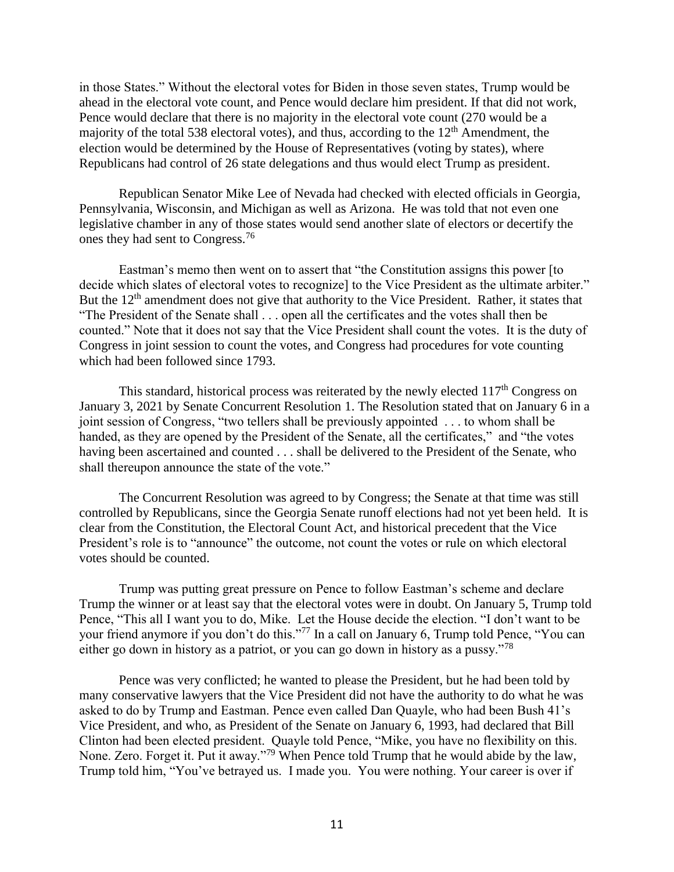in those States." Without the electoral votes for Biden in those seven states, Trump would be ahead in the electoral vote count, and Pence would declare him president. If that did not work, Pence would declare that there is no majority in the electoral vote count (270 would be a majority of the total 538 electoral votes), and thus, according to the  $12<sup>th</sup>$  Amendment, the election would be determined by the House of Representatives (voting by states), where Republicans had control of 26 state delegations and thus would elect Trump as president.

Republican Senator Mike Lee of Nevada had checked with elected officials in Georgia, Pennsylvania, Wisconsin, and Michigan as well as Arizona. He was told that not even one legislative chamber in any of those states would send another slate of electors or decertify the ones they had sent to Congress.<sup>76</sup>

Eastman's memo then went on to assert that "the Constitution assigns this power [to decide which slates of electoral votes to recognize] to the Vice President as the ultimate arbiter." But the 12<sup>th</sup> amendment does not give that authority to the Vice President. Rather, it states that "The President of the Senate shall . . . open all the certificates and the votes shall then be counted." Note that it does not say that the Vice President shall count the votes. It is the duty of Congress in joint session to count the votes, and Congress had procedures for vote counting which had been followed since 1793.

This standard, historical process was reiterated by the newly elected  $117<sup>th</sup>$  Congress on January 3, 2021 by Senate Concurrent Resolution 1. The Resolution stated that on January 6 in a joint session of Congress, "two tellers shall be previously appointed . . . to whom shall be handed, as they are opened by the President of the Senate, all the certificates," and "the votes having been ascertained and counted . . . shall be delivered to the President of the Senate, who shall thereupon announce the state of the vote."

The Concurrent Resolution was agreed to by Congress; the Senate at that time was still controlled by Republicans, since the Georgia Senate runoff elections had not yet been held. It is clear from the Constitution, the Electoral Count Act, and historical precedent that the Vice President's role is to "announce" the outcome, not count the votes or rule on which electoral votes should be counted.

Trump was putting great pressure on Pence to follow Eastman's scheme and declare Trump the winner or at least say that the electoral votes were in doubt. On January 5, Trump told Pence, "This all I want you to do, Mike. Let the House decide the election. "I don't want to be your friend anymore if you don't do this."<sup>77</sup> In a call on January 6, Trump told Pence, "You can either go down in history as a patriot, or you can go down in history as a pussy."<sup>78</sup>

Pence was very conflicted; he wanted to please the President, but he had been told by many conservative lawyers that the Vice President did not have the authority to do what he was asked to do by Trump and Eastman. Pence even called Dan Quayle, who had been Bush 41's Vice President, and who, as President of the Senate on January 6, 1993, had declared that Bill Clinton had been elected president. Quayle told Pence, "Mike, you have no flexibility on this. None. Zero. Forget it. Put it away."<sup>79</sup> When Pence told Trump that he would abide by the law, Trump told him, "You've betrayed us. I made you. You were nothing. Your career is over if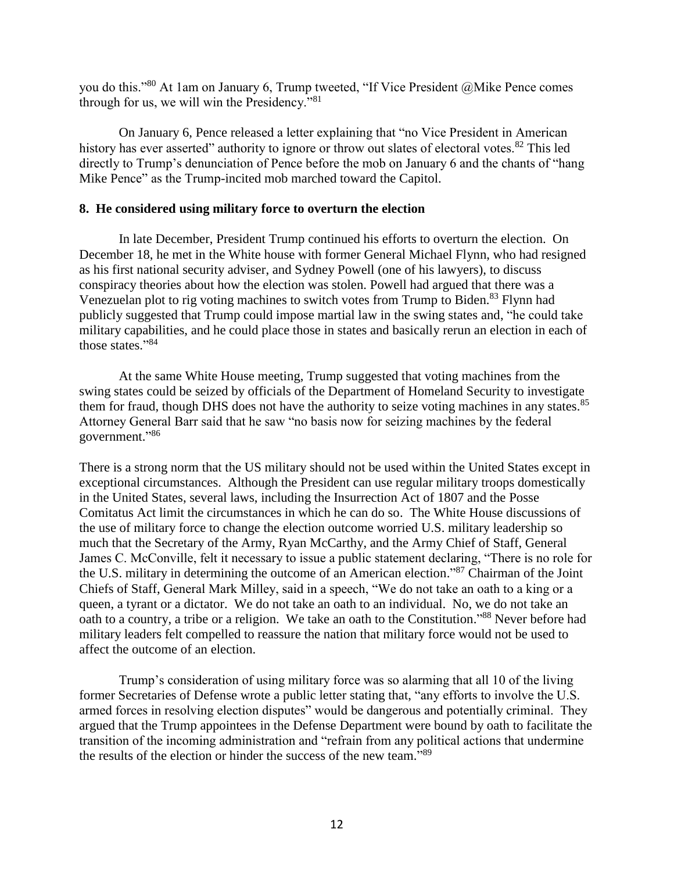you do this."<sup>80</sup> At 1am on January 6, Trump tweeted, "If Vice President @Mike Pence comes through for us, we will win the Presidency."<sup>81</sup>

On January 6, Pence released a letter explaining that "no Vice President in American history has ever asserted" authority to ignore or throw out slates of electoral votes.<sup>82</sup> This led directly to Trump's denunciation of Pence before the mob on January 6 and the chants of "hang Mike Pence" as the Trump-incited mob marched toward the Capitol.

## **8. He considered using military force to overturn the election**

In late December, President Trump continued his efforts to overturn the election. On December 18, he met in the White house with former General Michael Flynn, who had resigned as his first national security adviser, and Sydney Powell (one of his lawyers), to discuss conspiracy theories about how the election was stolen. Powell had argued that there was a Venezuelan plot to rig voting machines to switch votes from Trump to Biden.<sup>83</sup> Flynn had publicly suggested that Trump could impose martial law in the swing states and, "he could take military capabilities, and he could place those in states and basically rerun an election in each of those states." 84

At the same White House meeting, Trump suggested that voting machines from the swing states could be seized by officials of the Department of Homeland Security to investigate them for fraud, though DHS does not have the authority to seize voting machines in any states.<sup>85</sup> Attorney General Barr said that he saw "no basis now for seizing machines by the federal government."<sup>86</sup>

There is a strong norm that the US military should not be used within the United States except in exceptional circumstances. Although the President can use regular military troops domestically in the United States, several laws, including the Insurrection Act of 1807 and the Posse Comitatus Act limit the circumstances in which he can do so. The White House discussions of the use of military force to change the election outcome worried U.S. military leadership so much that the Secretary of the Army, Ryan McCarthy, and the Army Chief of Staff, General James C. McConville, felt it necessary to issue a public statement declaring, "There is no role for the U.S. military in determining the outcome of an American election."<sup>87</sup> Chairman of the Joint Chiefs of Staff, General Mark Milley, said in a speech, "We do not take an oath to a king or a queen, a tyrant or a dictator. We do not take an oath to an individual. No, we do not take an oath to a country, a tribe or a religion. We take an oath to the Constitution."<sup>88</sup> Never before had military leaders felt compelled to reassure the nation that military force would not be used to affect the outcome of an election.

Trump's consideration of using military force was so alarming that all 10 of the living former Secretaries of Defense wrote a public letter stating that, "any efforts to involve the U.S. armed forces in resolving election disputes" would be dangerous and potentially criminal. They argued that the Trump appointees in the Defense Department were bound by oath to facilitate the transition of the incoming administration and "refrain from any political actions that undermine the results of the election or hinder the success of the new team."<sup>89</sup>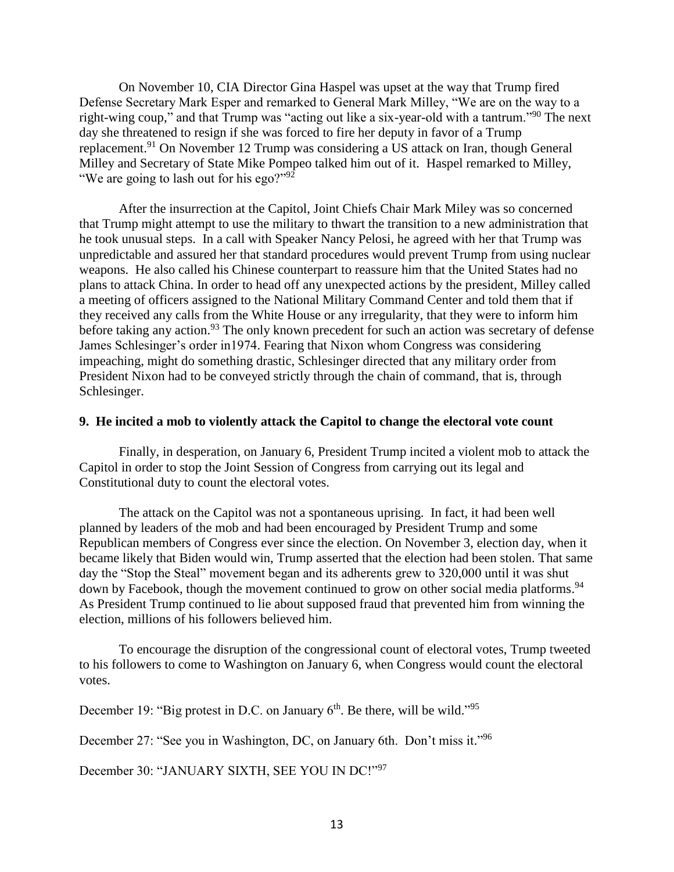On November 10, CIA Director Gina Haspel was upset at the way that Trump fired Defense Secretary Mark Esper and remarked to General Mark Milley, "We are on the way to a right-wing coup," and that Trump was "acting out like a six-year-old with a tantrum."<sup>90</sup> The next day she threatened to resign if she was forced to fire her deputy in favor of a Trump replacement.<sup>91</sup> On November 12 Trump was considering a US attack on Iran, though General Milley and Secretary of State Mike Pompeo talked him out of it. Haspel remarked to Milley, "We are going to lash out for his ego?"<sup>92</sup>

After the insurrection at the Capitol, Joint Chiefs Chair Mark Miley was so concerned that Trump might attempt to use the military to thwart the transition to a new administration that he took unusual steps. In a call with Speaker Nancy Pelosi, he agreed with her that Trump was unpredictable and assured her that standard procedures would prevent Trump from using nuclear weapons. He also called his Chinese counterpart to reassure him that the United States had no plans to attack China. In order to head off any unexpected actions by the president, Milley called a meeting of officers assigned to the National Military Command Center and told them that if they received any calls from the White House or any irregularity, that they were to inform him before taking any action.<sup>93</sup> The only known precedent for such an action was secretary of defense James Schlesinger's order in1974. Fearing that Nixon whom Congress was considering impeaching, might do something drastic, Schlesinger directed that any military order from President Nixon had to be conveyed strictly through the chain of command, that is, through Schlesinger.

#### **9. He incited a mob to violently attack the Capitol to change the electoral vote count**

Finally, in desperation, on January 6, President Trump incited a violent mob to attack the Capitol in order to stop the Joint Session of Congress from carrying out its legal and Constitutional duty to count the electoral votes.

The attack on the Capitol was not a spontaneous uprising. In fact, it had been well planned by leaders of the mob and had been encouraged by President Trump and some Republican members of Congress ever since the election. On November 3, election day, when it became likely that Biden would win, Trump asserted that the election had been stolen. That same day the "Stop the Steal" movement began and its adherents grew to 320,000 until it was shut down by Facebook, though the movement continued to grow on other social media platforms.<sup>94</sup> As President Trump continued to lie about supposed fraud that prevented him from winning the election, millions of his followers believed him.

To encourage the disruption of the congressional count of electoral votes, Trump tweeted to his followers to come to Washington on January 6, when Congress would count the electoral votes.

December 19: "Big protest in D.C. on January  $6<sup>th</sup>$ . Be there, will be wild."<sup>95</sup>

December 27: "See you in Washington, DC, on January 6th. Don't miss it."<sup>96</sup>

December 30: "JANUARY SIXTH, SEE YOU IN DC!"<sup>97</sup>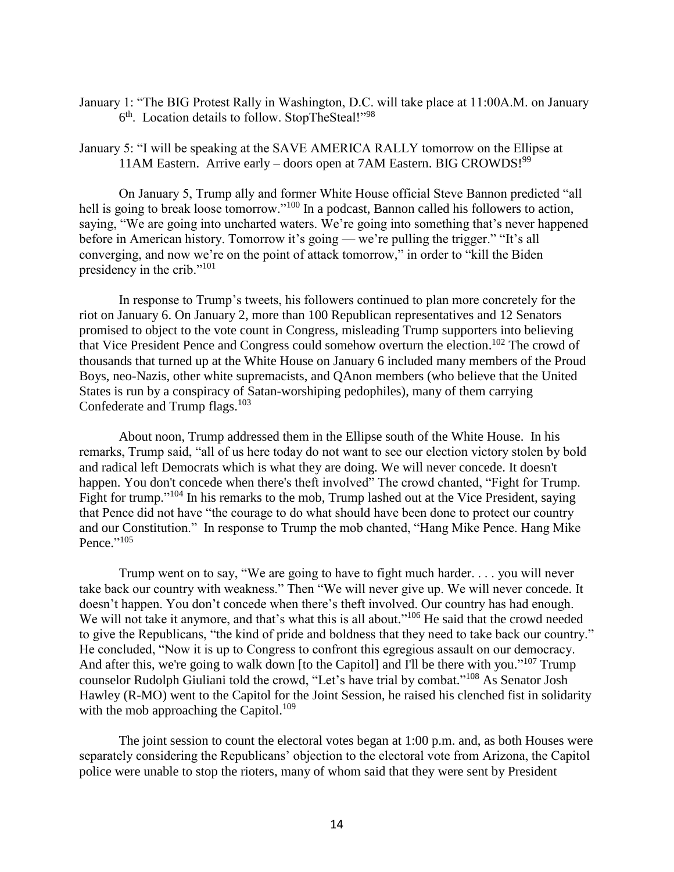January 1: "The BIG Protest Rally in Washington, D.C. will take place at 11:00A.M. on January 6<sup>th</sup>. Location details to follow. StopTheSteal!"<sup>98</sup>

January 5: "I will be speaking at the SAVE AMERICA RALLY tomorrow on the Ellipse at 11AM Eastern. Arrive early – doors open at 7AM Eastern. BIG CROWDS! $99$ 

On January 5, Trump ally and former White House official Steve Bannon predicted "all hell is going to break loose tomorrow."<sup>100</sup> In a podcast, Bannon called his followers to action, saying, "We are going into uncharted waters. We're going into something that's never happened before in American history. Tomorrow it's going — we're pulling the trigger." "It's all converging, and now we're on the point of attack tomorrow," in order to "kill the Biden presidency in the crib."<sup>101</sup>

In response to Trump's tweets, his followers continued to plan more concretely for the riot on January 6. On January 2, more than 100 Republican representatives and 12 Senators promised to object to the vote count in Congress, misleading Trump supporters into believing that Vice President Pence and Congress could somehow overturn the election.<sup>102</sup> The crowd of thousands that turned up at the White House on January 6 included many members of the Proud Boys, neo-Nazis, other white supremacists, and QAnon members (who believe that the United States is run by a conspiracy of Satan-worshiping pedophiles), many of them carrying Confederate and Trump flags.<sup>103</sup>

About noon, Trump addressed them in the Ellipse south of the White House. In his remarks, Trump said, "all of us here today do not want to see our election victory stolen by bold and radical left Democrats which is what they are doing. We will never concede. It doesn't happen. You don't concede when there's theft involved" The crowd chanted, "Fight for Trump. Fight for trump."<sup>104</sup> In his remarks to the mob, Trump lashed out at the Vice President, saying that Pence did not have "the courage to do what should have been done to protect our country and our Constitution." In response to Trump the mob chanted, "Hang Mike Pence. Hang Mike Pence."<sup>105</sup>

Trump went on to say, "We are going to have to fight much harder. . . . you will never take back our country with weakness." Then "We will never give up. We will never concede. It doesn't happen. You don't concede when there's theft involved. Our country has had enough. We will not take it anymore, and that's what this is all about."<sup>106</sup> He said that the crowd needed to give the Republicans, "the kind of pride and boldness that they need to take back our country." He concluded, "Now it is up to Congress to confront this egregious assault on our democracy. And after this, we're going to walk down [to the Capitol] and I'll be there with you."<sup>107</sup> Trump counselor Rudolph Giuliani told the crowd, "Let's have trial by combat." <sup>108</sup> As Senator Josh Hawley (R-MO) went to the Capitol for the Joint Session, he raised his clenched fist in solidarity with the mob approaching the Capitol.<sup>109</sup>

The joint session to count the electoral votes began at 1:00 p.m. and, as both Houses were separately considering the Republicans' objection to the electoral vote from Arizona, the Capitol police were unable to stop the rioters, many of whom said that they were sent by President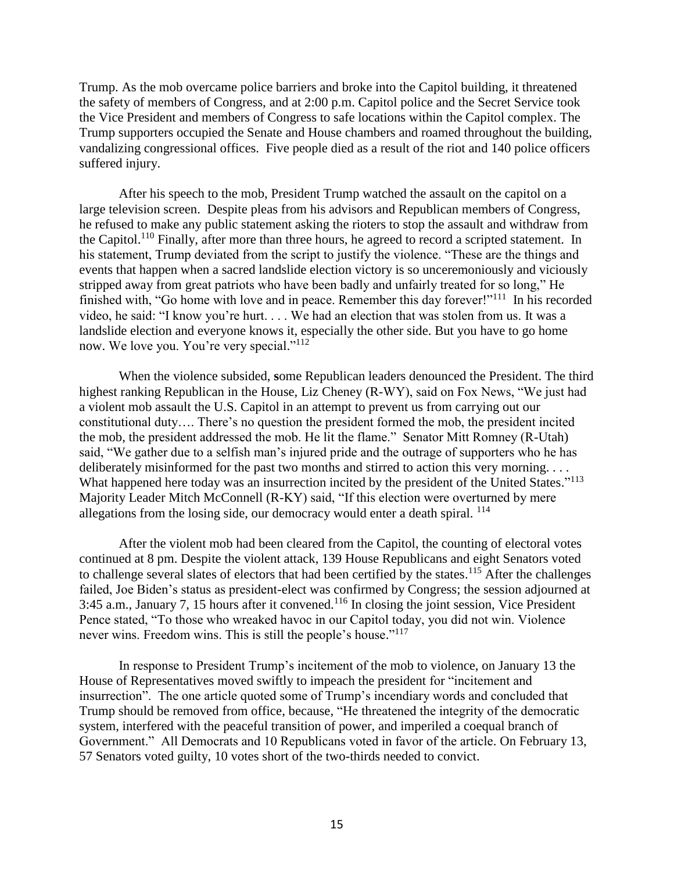Trump. As the mob overcame police barriers and broke into the Capitol building, it threatened the safety of members of Congress, and at 2:00 p.m. Capitol police and the Secret Service took the Vice President and members of Congress to safe locations within the Capitol complex. The Trump supporters occupied the Senate and House chambers and roamed throughout the building, vandalizing congressional offices. Five people died as a result of the riot and 140 police officers suffered injury.

After his speech to the mob, President Trump watched the assault on the capitol on a large television screen. Despite pleas from his advisors and Republican members of Congress, he refused to make any public statement asking the rioters to stop the assault and withdraw from the Capitol.<sup>110</sup> Finally, after more than three hours, he agreed to record a scripted statement. In his statement, Trump deviated from the script to justify the violence. "These are the things and events that happen when a sacred landslide election victory is so unceremoniously and viciously stripped away from great patriots who have been badly and unfairly treated for so long," He finished with, "Go home with love and in peace. Remember this day forever!"<sup>111</sup> In his recorded video, he said: "I know you're hurt. . . . We had an election that was stolen from us. It was a landslide election and everyone knows it, especially the other side. But you have to go home now. We love you. You're very special."<sup>112</sup>

When the violence subsided, **s**ome Republican leaders denounced the President. The third highest ranking Republican in the House, Liz Cheney (R-WY), said on Fox News, "We just had a violent mob assault the U.S. Capitol in an attempt to prevent us from carrying out our constitutional duty…. There's no question the president formed the mob, the president incited the mob, the president addressed the mob. He lit the flame." Senator Mitt Romney (R-Utah) said, "We gather due to a selfish man's injured pride and the outrage of supporters who he has deliberately misinformed for the past two months and stirred to action this very morning. . . . What happened here today was an insurrection incited by the president of the United States."<sup>113</sup> Majority Leader Mitch McConnell (R-KY) said, "If this election were overturned by mere allegations from the losing side, our democracy would enter a death spiral. <sup>114</sup>

After the violent mob had been cleared from the Capitol, the counting of electoral votes continued at 8 pm. Despite the violent attack, 139 House Republicans and eight Senators voted to challenge several slates of electors that had been certified by the states.<sup>115</sup> After the challenges failed, Joe Biden's status as president-elect was confirmed by Congress; the session adjourned at 3:45 a.m., January 7, 15 hours after it convened.<sup>116</sup> In closing the joint session, Vice President Pence stated, "To those who wreaked havoc in our Capitol today, you did not win. Violence never wins. Freedom wins. This is still the people's house."<sup>117</sup>

In response to President Trump's incitement of the mob to violence, on January 13 the House of Representatives moved swiftly to impeach the president for "incitement and insurrection". The one article quoted some of Trump's incendiary words and concluded that Trump should be removed from office, because, "He threatened the integrity of the democratic system, interfered with the peaceful transition of power, and imperiled a coequal branch of Government." All Democrats and 10 Republicans voted in favor of the article. On February 13, 57 Senators voted guilty, 10 votes short of the two-thirds needed to convict.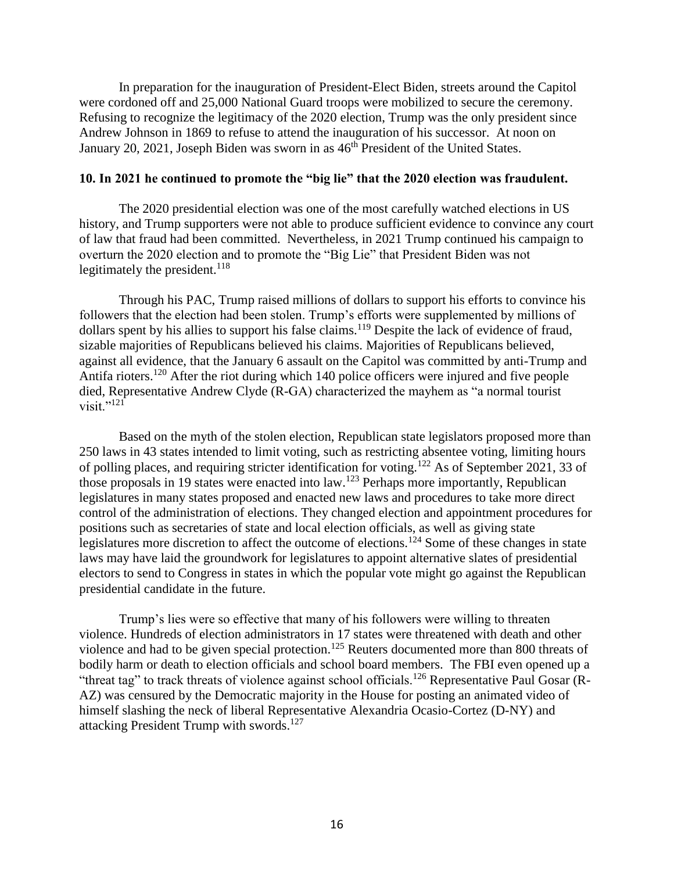In preparation for the inauguration of President-Elect Biden, streets around the Capitol were cordoned off and 25,000 National Guard troops were mobilized to secure the ceremony. Refusing to recognize the legitimacy of the 2020 election, Trump was the only president since Andrew Johnson in 1869 to refuse to attend the inauguration of his successor. At noon on January 20, 2021, Joseph Biden was sworn in as  $46<sup>th</sup>$  President of the United States.

### **10. In 2021 he continued to promote the "big lie" that the 2020 election was fraudulent.**

The 2020 presidential election was one of the most carefully watched elections in US history, and Trump supporters were not able to produce sufficient evidence to convince any court of law that fraud had been committed. Nevertheless, in 2021 Trump continued his campaign to overturn the 2020 election and to promote the "Big Lie" that President Biden was not legitimately the president. $118$ 

Through his PAC, Trump raised millions of dollars to support his efforts to convince his followers that the election had been stolen. Trump's efforts were supplemented by millions of dollars spent by his allies to support his false claims.<sup>119</sup> Despite the lack of evidence of fraud, sizable majorities of Republicans believed his claims. Majorities of Republicans believed, against all evidence, that the January 6 assault on the Capitol was committed by anti-Trump and Antifa rioters.<sup>120</sup> After the riot during which 140 police officers were injured and five people died, Representative Andrew Clyde (R-GA) characterized the mayhem as "a normal tourist visit." $^{121}$ 

Based on the myth of the stolen election, Republican state legislators proposed more than 250 laws in 43 states intended to limit voting, such as restricting absentee voting, limiting hours of polling places, and requiring stricter identification for voting.<sup>122</sup> As of September 2021, 33 of those proposals in 19 states were enacted into law.<sup>123</sup> Perhaps more importantly, Republican legislatures in many states proposed and enacted new laws and procedures to take more direct control of the administration of elections. They changed election and appointment procedures for positions such as secretaries of state and local election officials, as well as giving state legislatures more discretion to affect the outcome of elections.<sup>124</sup> Some of these changes in state laws may have laid the groundwork for legislatures to appoint alternative slates of presidential electors to send to Congress in states in which the popular vote might go against the Republican presidential candidate in the future.

Trump's lies were so effective that many of his followers were willing to threaten violence. Hundreds of election administrators in 17 states were threatened with death and other violence and had to be given special protection.<sup>125</sup> Reuters documented more than 800 threats of bodily harm or death to election officials and school board members. The FBI even opened up a "threat tag" to track threats of violence against school officials.<sup>126</sup> Representative Paul Gosar (R-AZ) was censured by the Democratic majority in the House for posting an animated video of himself slashing the neck of liberal Representative Alexandria Ocasio-Cortez (D-NY) and attacking President Trump with swords.<sup>127</sup>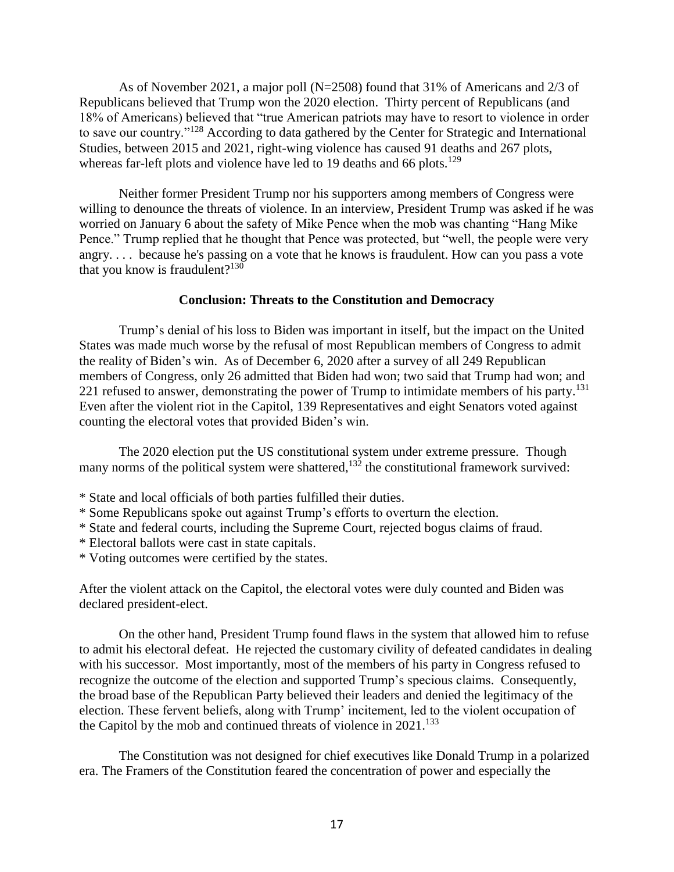As of November 2021, a major poll (N=2508) found that 31% of Americans and 2/3 of Republicans believed that Trump won the 2020 election. Thirty percent of Republicans (and 18% of Americans) believed that "true American patriots may have to resort to violence in order to save our country."<sup>128</sup> According to data gathered by the Center for Strategic and International Studies, between 2015 and 2021, right-wing violence has caused 91 deaths and 267 plots, whereas far-left plots and violence have led to 19 deaths and 66 plots.<sup>129</sup>

Neither former President Trump nor his supporters among members of Congress were willing to denounce the threats of violence. In an interview, President Trump was asked if he was worried on January 6 about the safety of Mike Pence when the mob was chanting "Hang Mike Pence." Trump replied that he thought that Pence was protected, but "well, the people were very angry. . . . because he's passing on a vote that he knows is fraudulent. How can you pass a vote that you know is fraudulent? $130$ 

# **Conclusion: Threats to the Constitution and Democracy**

Trump's denial of his loss to Biden was important in itself, but the impact on the United States was made much worse by the refusal of most Republican members of Congress to admit the reality of Biden's win. As of December 6, 2020 after a survey of all 249 Republican members of Congress, only 26 admitted that Biden had won; two said that Trump had won; and 221 refused to answer, demonstrating the power of Trump to intimidate members of his party.<sup>131</sup> Even after the violent riot in the Capitol, 139 Representatives and eight Senators voted against counting the electoral votes that provided Biden's win.

The 2020 election put the US constitutional system under extreme pressure. Though many norms of the political system were shattered,<sup>132</sup> the constitutional framework survived:

- \* State and local officials of both parties fulfilled their duties.
- \* Some Republicans spoke out against Trump's efforts to overturn the election.
- \* State and federal courts, including the Supreme Court, rejected bogus claims of fraud.
- \* Electoral ballots were cast in state capitals.
- \* Voting outcomes were certified by the states.

After the violent attack on the Capitol, the electoral votes were duly counted and Biden was declared president-elect.

On the other hand, President Trump found flaws in the system that allowed him to refuse to admit his electoral defeat. He rejected the customary civility of defeated candidates in dealing with his successor. Most importantly, most of the members of his party in Congress refused to recognize the outcome of the election and supported Trump's specious claims. Consequently, the broad base of the Republican Party believed their leaders and denied the legitimacy of the election. These fervent beliefs, along with Trump' incitement, led to the violent occupation of the Capitol by the mob and continued threats of violence in  $2021$ .<sup>133</sup>

The Constitution was not designed for chief executives like Donald Trump in a polarized era. The Framers of the Constitution feared the concentration of power and especially the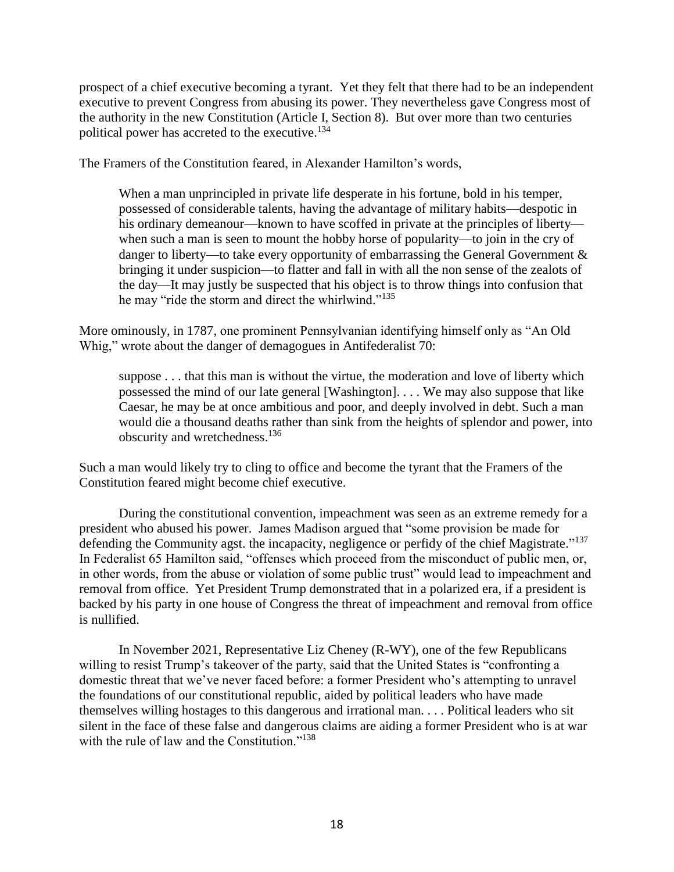prospect of a chief executive becoming a tyrant. Yet they felt that there had to be an independent executive to prevent Congress from abusing its power. They nevertheless gave Congress most of the authority in the new Constitution (Article I, Section 8). But over more than two centuries political power has accreted to the executive. 134

The Framers of the Constitution feared, in Alexander Hamilton's words,

When a man unprincipled in private life desperate in his fortune, bold in his temper, possessed of considerable talents, having the advantage of military habits—despotic in his ordinary demeanour—known to have scoffed in private at the principles of liberty when such a man is seen to mount the hobby horse of popularity—to join in the cry of danger to liberty—to take every opportunity of embarrassing the General Government  $\&$ bringing it under suspicion—to flatter and fall in with all the non sense of the zealots of the day—It may justly be suspected that his object is to throw things into confusion that he may "ride the storm and direct the whirlwind."<sup>135</sup>

More ominously, in 1787, one prominent Pennsylvanian identifying himself only as "An Old Whig," wrote about the danger of demagogues in Antifederalist 70:

suppose . . . that this man is without the virtue, the moderation and love of liberty which possessed the mind of our late general [Washington]. . . . We may also suppose that like Caesar, he may be at once ambitious and poor, and deeply involved in debt. Such a man would die a thousand deaths rather than sink from the heights of splendor and power, into obscurity and wretchedness. 136

Such a man would likely try to cling to office and become the tyrant that the Framers of the Constitution feared might become chief executive.

During the constitutional convention, impeachment was seen as an extreme remedy for a president who abused his power. James Madison argued that "some provision be made for defending the Community agst. the incapacity, negligence or perfidy of the chief Magistrate."<sup>137</sup> In Federalist 65 Hamilton said, "offenses which proceed from the misconduct of public men, or, in other words, from the abuse or violation of some public trust" would lead to impeachment and removal from office. Yet President Trump demonstrated that in a polarized era, if a president is backed by his party in one house of Congress the threat of impeachment and removal from office is nullified.

In November 2021, Representative Liz Cheney (R-WY), one of the few Republicans willing to resist Trump's takeover of the party, said that the United States is "confronting a domestic threat that we've never faced before: a former President who's attempting to unravel the foundations of our constitutional republic, aided by political leaders who have made themselves willing hostages to this dangerous and irrational man. . . . Political leaders who sit silent in the face of these false and dangerous claims are aiding a former President who is at war with the rule of law and the Constitution."<sup>138</sup>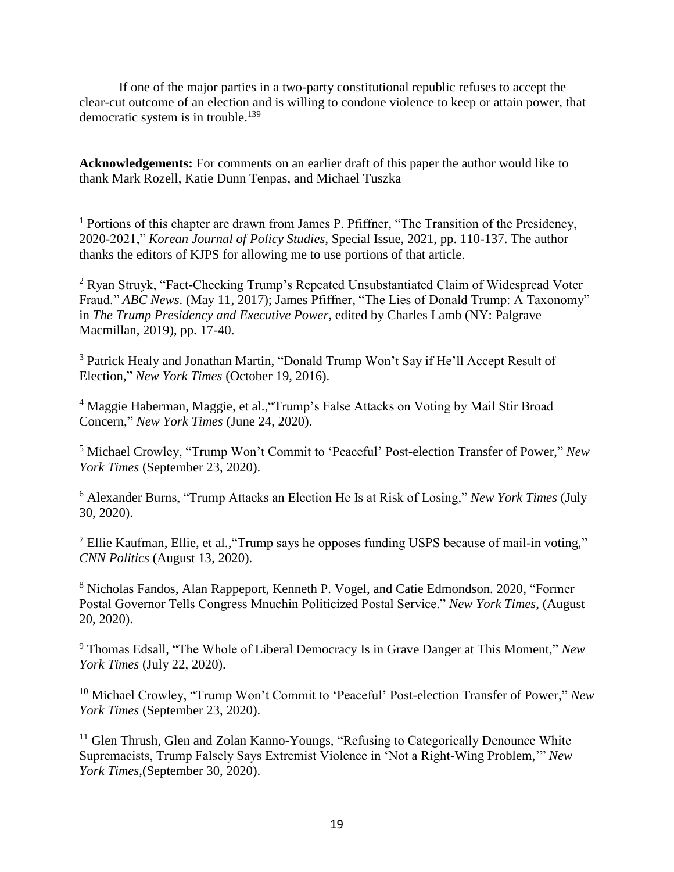If one of the major parties in a two-party constitutional republic refuses to accept the clear-cut outcome of an election and is willing to condone violence to keep or attain power, that democratic system is in trouble. 139

**Acknowledgements:** For comments on an earlier draft of this paper the author would like to thank Mark Rozell, Katie Dunn Tenpas, and Michael Tuszka

 $\overline{a}$ 

 $<sup>1</sup>$  Portions of this chapter are drawn from James P. Pfiffner, "The Transition of the Presidency,</sup> 2020-2021," *Korean Journal of Policy Studies*, Special Issue, 2021, pp. 110-137. The author thanks the editors of KJPS for allowing me to use portions of that article.

<sup>2</sup> Ryan Struyk, "Fact-Checking Trump's Repeated Unsubstantiated Claim of Widespread Voter Fraud." *ABC News.* (May 11, 2017); James Pfiffner, "The Lies of Donald Trump: A Taxonomy" in *The Trump Presidency and Executive Power*, edited by Charles Lamb (NY: Palgrave Macmillan, 2019), pp. 17-40.

<sup>3</sup> Patrick Healy and Jonathan Martin, "Donald Trump Won't Say if He'll Accept Result of Election," *New York Times* (October 19, 2016).

<sup>4</sup> Maggie Haberman, Maggie, et al.,"Trump's False Attacks on Voting by Mail Stir Broad Concern," *New York Times* (June 24, 2020).

<sup>5</sup> Michael Crowley, "Trump Won't Commit to 'Peaceful' Post-election Transfer of Power," *New York Times* (September 23, 2020).

<sup>6</sup> Alexander Burns, "Trump Attacks an Election He Is at Risk of Losing," *New York Times* (July 30, 2020).

 $<sup>7</sup>$  Ellie Kaufman, Ellie, et al., "Trump says he opposes funding USPS because of mail-in voting,"</sup> *CNN Politics* (August 13, 2020).

<sup>8</sup> Nicholas Fandos, Alan Rappeport, Kenneth P. Vogel, and Catie Edmondson. 2020, "Former Postal Governor Tells Congress Mnuchin Politicized Postal Service." *New York Times*, (August 20, 2020).

<sup>9</sup> Thomas Edsall, "The Whole of Liberal Democracy Is in Grave Danger at This Moment," *New York Times* (July 22, 2020).

<sup>10</sup> Michael Crowley, "Trump Won't Commit to 'Peaceful' Post-election Transfer of Power," *New York Times* (September 23, 2020).

<sup>11</sup> Glen Thrush, Glen and Zolan Kanno-Youngs, "Refusing to Categorically Denounce White Supremacists, Trump Falsely Says Extremist Violence in 'Not a Right-Wing Problem,'" *New York Times*,(September 30, 2020).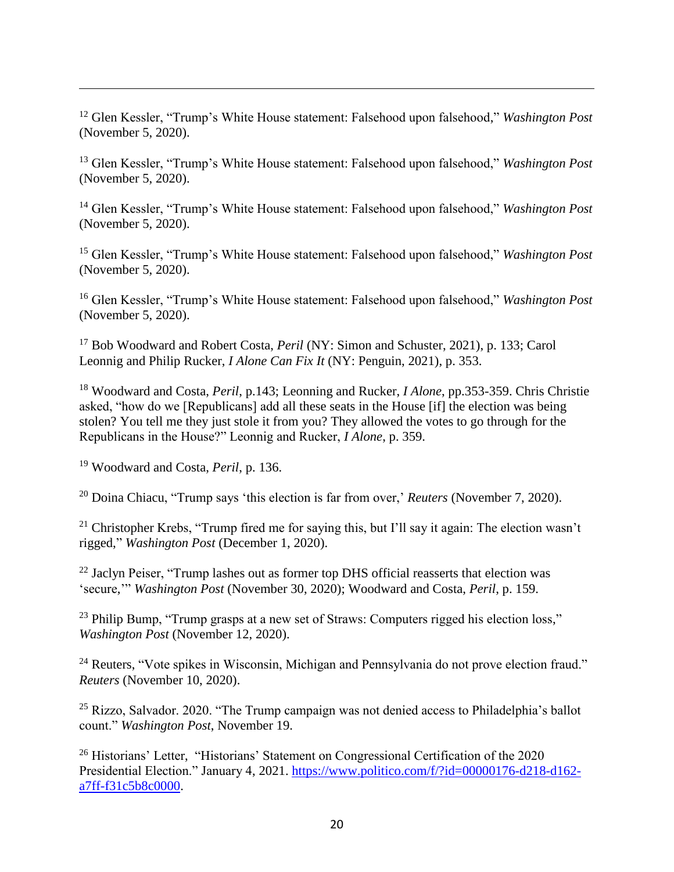<sup>12</sup> Glen Kessler, "Trump's White House statement: Falsehood upon falsehood," *Washington Post* (November 5, 2020).

<sup>13</sup> Glen Kessler, "Trump's White House statement: Falsehood upon falsehood," *Washington Post* (November 5, 2020).

<sup>14</sup> Glen Kessler, "Trump's White House statement: Falsehood upon falsehood," *Washington Post* (November 5, 2020).

<sup>15</sup> Glen Kessler, "Trump's White House statement: Falsehood upon falsehood," *Washington Post* (November 5, 2020).

<sup>16</sup> Glen Kessler, "Trump's White House statement: Falsehood upon falsehood," *Washington Post* (November 5, 2020).

<sup>17</sup> Bob Woodward and Robert Costa, *Peril* (NY: Simon and Schuster, 2021), p. 133; Carol Leonnig and Philip Rucker, *I Alone Can Fix It* (NY: Penguin, 2021), p. 353.

<sup>18</sup> Woodward and Costa, *Peril*, p.143; Leonning and Rucker, *I Alone*, pp.353-359. Chris Christie asked, "how do we [Republicans] add all these seats in the House [if] the election was being stolen? You tell me they just stole it from you? They allowed the votes to go through for the Republicans in the House?" Leonnig and Rucker, *I Alone*, p. 359.

<sup>19</sup> Woodward and Costa, *Peril*, p. 136.

 $\overline{a}$ 

<sup>20</sup> Doina Chiacu, "Trump says 'this election is far from over,' *Reuters* (November 7, 2020).

<sup>21</sup> Christopher Krebs, "Trump fired me for saying this, but I'll say it again: The election wasn't rigged," *Washington Post* (December 1, 2020).

<sup>22</sup> Jaclyn Peiser, "Trump lashes out as former top DHS official reasserts that election was 'secure,'" *Washington Post* (November 30, 2020); Woodward and Costa, *Peril*, p. 159.

<sup>23</sup> Philip Bump, "Trump grasps at a new set of Straws: Computers rigged his election loss," *Washington Post* (November 12, 2020).

<sup>24</sup> Reuters, "Vote spikes in Wisconsin, Michigan and Pennsylvania do not prove election fraud." *Reuters* (November 10, 2020).

 $25$  Rizzo, Salvador. 2020. "The Trump campaign was not denied access to Philadelphia's ballot count." *Washington Post*, November 19.

<sup>26</sup> Historians' Letter, "Historians' Statement on Congressional Certification of the 2020 Presidential Election." January 4, 2021. [https://www.politico.com/f/?id=00000176-d218-d162](https://www.politico.com/f/?id=00000176-d218-d162-a7ff-f31c5b8c0000) [a7ff-f31c5b8c0000.](https://www.politico.com/f/?id=00000176-d218-d162-a7ff-f31c5b8c0000)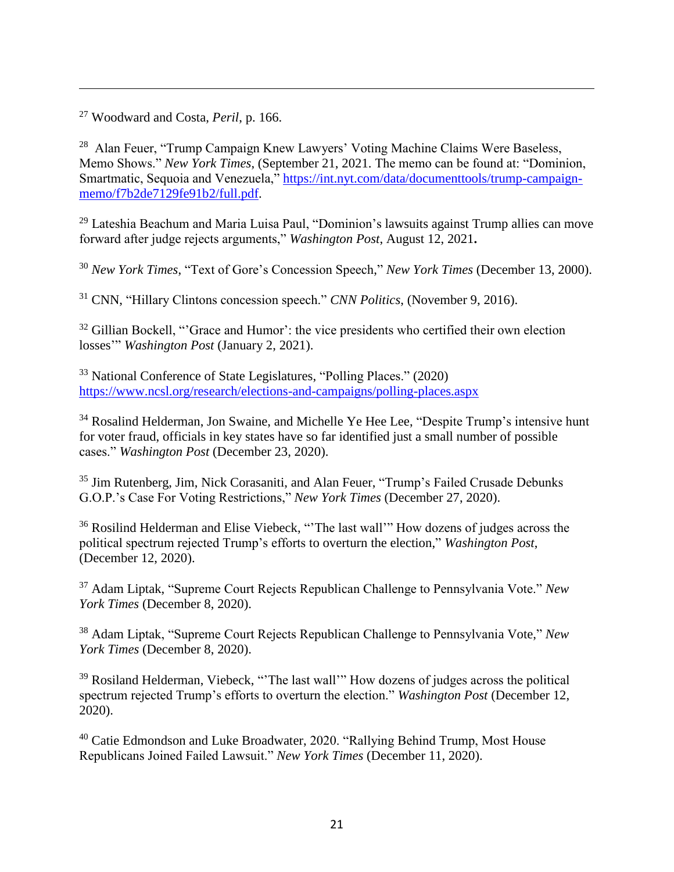<sup>27</sup> Woodward and Costa, *Peril*, p. 166.

 $\overline{a}$ 

<sup>28</sup> Alan Feuer, "Trump Campaign Knew Lawyers' Voting Machine Claims Were Baseless, Memo Shows." *New York Times*, (September 21, 2021. The memo can be found at: "Dominion, Smartmatic, Sequoia and Venezuela," [https://int.nyt.com/data/documenttools/trump-campaign](https://int.nyt.com/data/documenttools/trump-campaign-memo/f7b2de7129fe91b2/full.pdf)[memo/f7b2de7129fe91b2/full.pdf.](https://int.nyt.com/data/documenttools/trump-campaign-memo/f7b2de7129fe91b2/full.pdf)

<sup>29</sup> Lateshia Beachum and Maria Luisa Paul, "Dominion's lawsuits against Trump allies can move forward after judge rejects arguments," *Washington Post*, August 12, 2021**.**

<sup>30</sup> *New York Times*, "Text of Gore's Concession Speech," *New York Times* (December 13, 2000).

<sup>31</sup> CNN, "Hillary Clintons concession speech." *CNN Politics*, (November 9, 2016).

 $32$  Gillian Bockell, "'Grace and Humor': the vice presidents who certified their own election losses'" *Washington Post* (January 2, 2021).

<sup>33</sup> National Conference of State Legislatures, "Polling Places." (2020) <https://www.ncsl.org/research/elections-and-campaigns/polling-places.aspx>

<sup>34</sup> Rosalind Helderman, Jon Swaine, and Michelle Ye Hee Lee, "Despite Trump's intensive hunt for voter fraud, officials in key states have so far identified just a small number of possible cases." *Washington Post* (December 23, 2020).

<sup>35</sup> Jim Rutenberg, Jim, Nick Corasaniti, and Alan Feuer, "Trump's Failed Crusade Debunks G.O.P.'s Case For Voting Restrictions," *New York Times* (December 27, 2020).

<sup>36</sup> Rosilind Helderman and Elise Viebeck, "'The last wall'" How dozens of judges across the political spectrum rejected Trump's efforts to overturn the election," *Washington Post*, (December 12, 2020).

<sup>37</sup> Adam Liptak, "Supreme Court Rejects Republican Challenge to Pennsylvania Vote." *New York Times* (December 8, 2020).

<sup>38</sup> Adam Liptak, "Supreme Court Rejects Republican Challenge to Pennsylvania Vote," *New York Times* (December 8, 2020).

<sup>39</sup> Rosiland Helderman, Viebeck, "The last wall" How dozens of judges across the political spectrum rejected Trump's efforts to overturn the election." *Washington Post* (December 12, 2020).

<sup>40</sup> Catie Edmondson and Luke Broadwater, 2020. "Rallying Behind Trump, Most House Republicans Joined Failed Lawsuit." *New York Times* (December 11, 2020).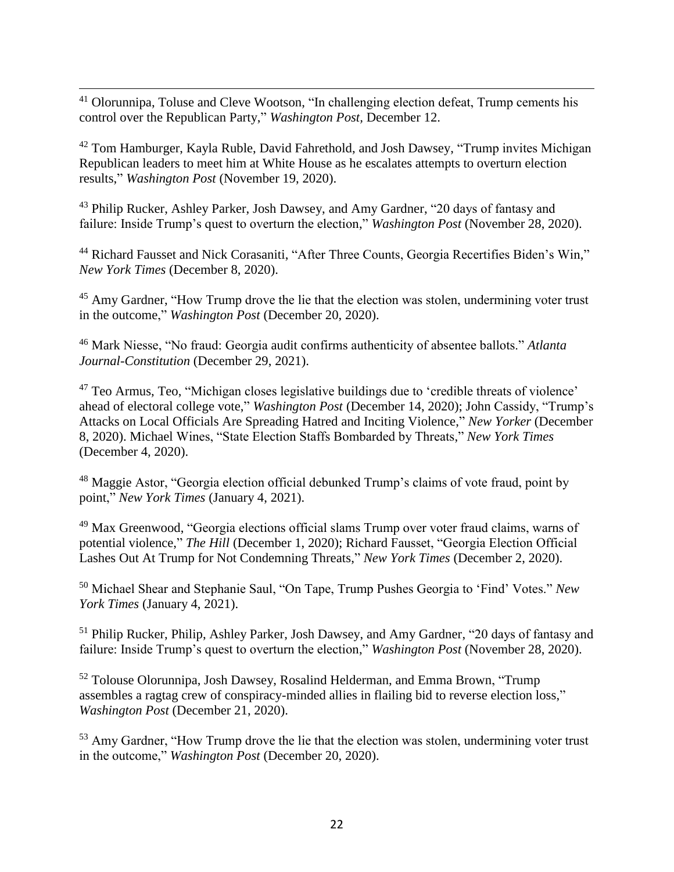$\overline{a}$ <sup>41</sup> Olorunnipa, Toluse and Cleve Wootson, "In challenging election defeat, Trump cements his control over the Republican Party," *Washington Post,* December 12.

<sup>42</sup> Tom Hamburger, Kayla Ruble, David Fahrethold, and Josh Dawsey, "Trump invites Michigan Republican leaders to meet him at White House as he escalates attempts to overturn election results," *Washington Post* (November 19, 2020).

<sup>43</sup> Philip Rucker, Ashley Parker, Josh Dawsey, and Amy Gardner, "20 days of fantasy and failure: Inside Trump's quest to overturn the election," *Washington Post* (November 28, 2020).

<sup>44</sup> Richard Fausset and Nick Corasaniti, "After Three Counts, Georgia Recertifies Biden's Win," *New York Times* (December 8, 2020).

<sup>45</sup> Amy Gardner, "How Trump drove the lie that the election was stolen, undermining voter trust in the outcome," *Washington Post* (December 20, 2020).

<sup>46</sup> Mark Niesse, "No fraud: Georgia audit confirms authenticity of absentee ballots." *Atlanta Journal-Constitution* (December 29, 2021).

<sup>47</sup> Teo Armus, Teo, "Michigan closes legislative buildings due to 'credible threats of violence' ahead of electoral college vote," *Washington Post* (December 14, 2020); John Cassidy, "Trump's Attacks on Local Officials Are Spreading Hatred and Inciting Violence," *New Yorker* (December 8, 2020). Michael Wines, "State Election Staffs Bombarded by Threats," *New York Times* (December 4, 2020).

<sup>48</sup> Maggie Astor, "Georgia election official debunked Trump's claims of vote fraud, point by point," *New York Times* (January 4, 2021).

<sup>49</sup> Max Greenwood, "Georgia elections official slams Trump over voter fraud claims, warns of potential violence," *The Hill* (December 1, 2020); Richard Fausset, "Georgia Election Official Lashes Out At Trump for Not Condemning Threats," *New York Times* (December 2, 2020).

<sup>50</sup> Michael Shear and Stephanie Saul, "On Tape, Trump Pushes Georgia to 'Find' Votes." *New York Times* (January 4, 2021).

<sup>51</sup> Philip Rucker, Philip, Ashley Parker, Josh Dawsey, and Amy Gardner, "20 days of fantasy and failure: Inside Trump's quest to overturn the election," *Washington Post* (November 28, 2020).

<sup>52</sup> Tolouse Olorunnipa, Josh Dawsey, Rosalind Helderman, and Emma Brown, "Trump assembles a ragtag crew of conspiracy-minded allies in flailing bid to reverse election loss," *Washington Post* (December 21, 2020).

<sup>53</sup> Amy Gardner, "How Trump drove the lie that the election was stolen, undermining voter trust in the outcome," *Washington Post* (December 20, 2020).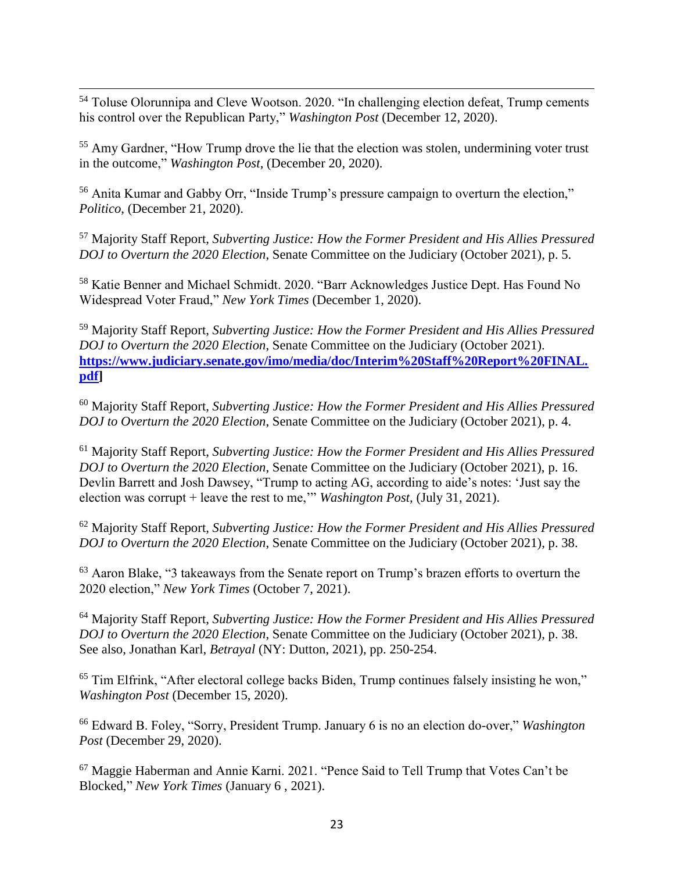$\overline{a}$  $54$  Toluse Olorunnipa and Cleve Wootson. 2020. "In challenging election defeat, Trump cements his control over the Republican Party," *Washington Post* (December 12, 2020).

<sup>55</sup> Amy Gardner, "How Trump drove the lie that the election was stolen, undermining voter trust in the outcome," *Washington Post*, (December 20, 2020).

<sup>56</sup> Anita Kumar and Gabby Orr, "Inside Trump's pressure campaign to overturn the election," *Politico*, (December 21, 2020).

<sup>57</sup> Majority Staff Report, *Subverting Justice: How the Former President and His Allies Pressured DOJ to Overturn the 2020 Election*, Senate Committee on the Judiciary (October 2021), p. 5.

<sup>58</sup> Katie Benner and Michael Schmidt. 2020. "Barr Acknowledges Justice Dept. Has Found No Widespread Voter Fraud," *New York Times* (December 1, 2020).

<sup>59</sup> Majority Staff Report, *Subverting Justice: How the Former President and His Allies Pressured DOJ to Overturn the 2020 Election*, Senate Committee on the Judiciary (October 2021). **[https://www.judiciary.senate.gov/imo/media/doc/Interim%20Staff%20Report%20FINAL.](https://www.judiciary.senate.gov/imo/media/doc/Interim%20Staff%20Report%20FINAL.pdf) [pdf\]](https://www.judiciary.senate.gov/imo/media/doc/Interim%20Staff%20Report%20FINAL.pdf)**

<sup>60</sup> Majority Staff Report, *Subverting Justice: How the Former President and His Allies Pressured DOJ to Overturn the 2020 Election*, Senate Committee on the Judiciary (October 2021), p. 4.

<sup>61</sup> Majority Staff Report, *Subverting Justice: How the Former President and His Allies Pressured DOJ to Overturn the 2020 Election*, Senate Committee on the Judiciary (October 2021), p. 16. Devlin Barrett and Josh Dawsey, "Trump to acting AG, according to aide's notes: 'Just say the election was corrupt + leave the rest to me,'" *Washington Post,* (July 31, 2021).

<sup>62</sup> Majority Staff Report, *Subverting Justice: How the Former President and His Allies Pressured DOJ to Overturn the 2020 Election*, Senate Committee on the Judiciary (October 2021), p. 38.

 $63$  Aaron Blake, "3 takeaways from the Senate report on Trump's brazen efforts to overturn the 2020 election," *New York Times* (October 7, 2021).

<sup>64</sup> Majority Staff Report, *Subverting Justice: How the Former President and His Allies Pressured DOJ to Overturn the 2020 Election*, Senate Committee on the Judiciary (October 2021), p. 38. See also, Jonathan Karl, *Betrayal* (NY: Dutton, 2021), pp. 250-254.

<sup>65</sup> Tim Elfrink, "After electoral college backs Biden, Trump continues falsely insisting he won," *Washington Post* (December 15, 2020).

<sup>66</sup> Edward B. Foley, "Sorry, President Trump. January 6 is no an election do-over," *Washington Post* (December 29, 2020).

<sup>67</sup> Maggie Haberman and Annie Karni. 2021. "Pence Said to Tell Trump that Votes Can't be Blocked," *New York Times* (January 6 , 2021).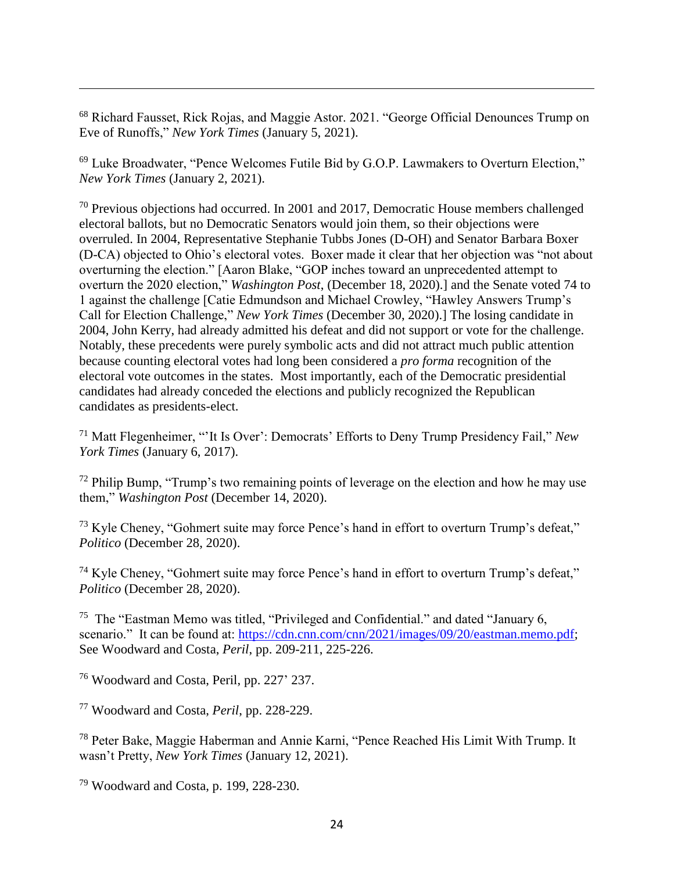<sup>68</sup> Richard Fausset, Rick Rojas, and Maggie Astor. 2021. "George Official Denounces Trump on Eve of Runoffs," *New York Times* (January 5, 2021).

<sup>69</sup> Luke Broadwater, "Pence Welcomes Futile Bid by G.O.P. Lawmakers to Overturn Election," *New York Times* (January 2, 2021).

<sup>70</sup> Previous objections had occurred. In 2001 and 2017, Democratic House members challenged electoral ballots, but no Democratic Senators would join them, so their objections were overruled. In 2004, Representative Stephanie Tubbs Jones (D-OH) and Senator Barbara Boxer (D-CA) objected to Ohio's electoral votes. Boxer made it clear that her objection was "not about overturning the election." [Aaron Blake, "GOP inches toward an unprecedented attempt to overturn the 2020 election," *Washington Post*, (December 18, 2020).] and the Senate voted 74 to 1 against the challenge [Catie Edmundson and Michael Crowley, "Hawley Answers Trump's Call for Election Challenge," *New York Times* (December 30, 2020).] The losing candidate in 2004, John Kerry, had already admitted his defeat and did not support or vote for the challenge. Notably, these precedents were purely symbolic acts and did not attract much public attention because counting electoral votes had long been considered a *pro forma* recognition of the electoral vote outcomes in the states. Most importantly, each of the Democratic presidential candidates had already conceded the elections and publicly recognized the Republican candidates as presidents-elect.

<sup>71</sup> Matt Flegenheimer, "'It Is Over': Democrats' Efforts to Deny Trump Presidency Fail," *New York Times* (January 6, 2017).

 $72$  Philip Bump, "Trump's two remaining points of leverage on the election and how he may use them," *Washington Post* (December 14, 2020).

<sup>73</sup> Kyle Cheney, "Gohmert suite may force Pence's hand in effort to overturn Trump's defeat," *Politico* (December 28, 2020).

 $74$  Kyle Cheney, "Gohmert suite may force Pence's hand in effort to overturn Trump's defeat," *Politico* (December 28, 2020).

<sup>75</sup> The "Eastman Memo was titled, "Privileged and Confidential." and dated "January 6, scenario." It can be found at: [https://cdn.cnn.com/cnn/2021/images/09/20/eastman.memo.pdf;](https://cdn.cnn.com/cnn/2021/images/09/20/eastman.memo.pdf) See Woodward and Costa, *Peril*, pp. 209-211, 225-226.

<sup>76</sup> Woodward and Costa, Peril, pp. 227' 237.

 $\overline{a}$ 

<sup>77</sup> Woodward and Costa, *Peril*, pp. 228-229.

<sup>78</sup> Peter Bake, Maggie Haberman and Annie Karni, "Pence Reached His Limit With Trump. It wasn't Pretty, *New York Times* (January 12, 2021).

<sup>79</sup> Woodward and Costa, p. 199, 228-230.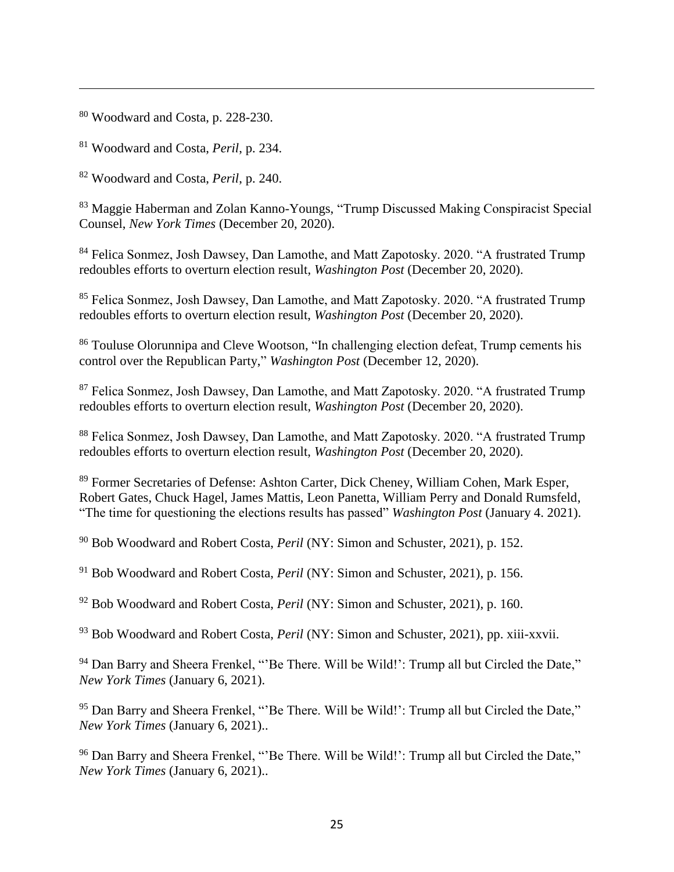<sup>80</sup> Woodward and Costa, p. 228-230.

 $\overline{a}$ 

<sup>81</sup> Woodward and Costa, *Peril*, p. 234.

<sup>82</sup> Woodward and Costa, *Peril*, p. 240.

<sup>83</sup> Maggie Haberman and Zolan Kanno-Youngs, "Trump Discussed Making Conspiracist Special Counsel, *New York Times* (December 20, 2020).

<sup>84</sup> Felica Sonmez, Josh Dawsey, Dan Lamothe, and Matt Zapotosky. 2020. "A frustrated Trump redoubles efforts to overturn election result, *Washington Post* (December 20, 2020).

<sup>85</sup> Felica Sonmez, Josh Dawsey, Dan Lamothe, and Matt Zapotosky. 2020. "A frustrated Trump redoubles efforts to overturn election result, *Washington Post* (December 20, 2020).

<sup>86</sup> Touluse Olorunnipa and Cleve Wootson, "In challenging election defeat, Trump cements his control over the Republican Party," *Washington Post* (December 12, 2020).

<sup>87</sup> Felica Sonmez, Josh Dawsey, Dan Lamothe, and Matt Zapotosky. 2020. "A frustrated Trump redoubles efforts to overturn election result, *Washington Post* (December 20, 2020).

<sup>88</sup> Felica Sonmez, Josh Dawsey, Dan Lamothe, and Matt Zapotosky. 2020. "A frustrated Trump redoubles efforts to overturn election result, *Washington Post* (December 20, 2020).

<sup>89</sup> Former Secretaries of Defense: Ashton Carter, Dick Cheney, William Cohen, Mark Esper, Robert Gates, Chuck Hagel, James Mattis, Leon Panetta, William Perry and Donald Rumsfeld, "The time for questioning the elections results has passed" *Washington Post* (January 4. 2021).

<sup>90</sup> Bob Woodward and Robert Costa, *Peril* (NY: Simon and Schuster, 2021), p. 152.

<sup>91</sup> Bob Woodward and Robert Costa, *Peril* (NY: Simon and Schuster, 2021), p. 156.

<sup>92</sup> Bob Woodward and Robert Costa, *Peril* (NY: Simon and Schuster, 2021), p. 160.

<sup>93</sup> Bob Woodward and Robert Costa, *Peril* (NY: Simon and Schuster, 2021), pp. xiii-xxvii.

<sup>94</sup> Dan Barry and Sheera Frenkel, "'Be There. Will be Wild!': Trump all but Circled the Date," *New York Times* (January 6, 2021).

<sup>95</sup> Dan Barry and Sheera Frenkel, "'Be There. Will be Wild!': Trump all but Circled the Date," *New York Times* (January 6, 2021)..

<sup>96</sup> Dan Barry and Sheera Frenkel, "'Be There. Will be Wild!': Trump all but Circled the Date," *New York Times* (January 6, 2021)..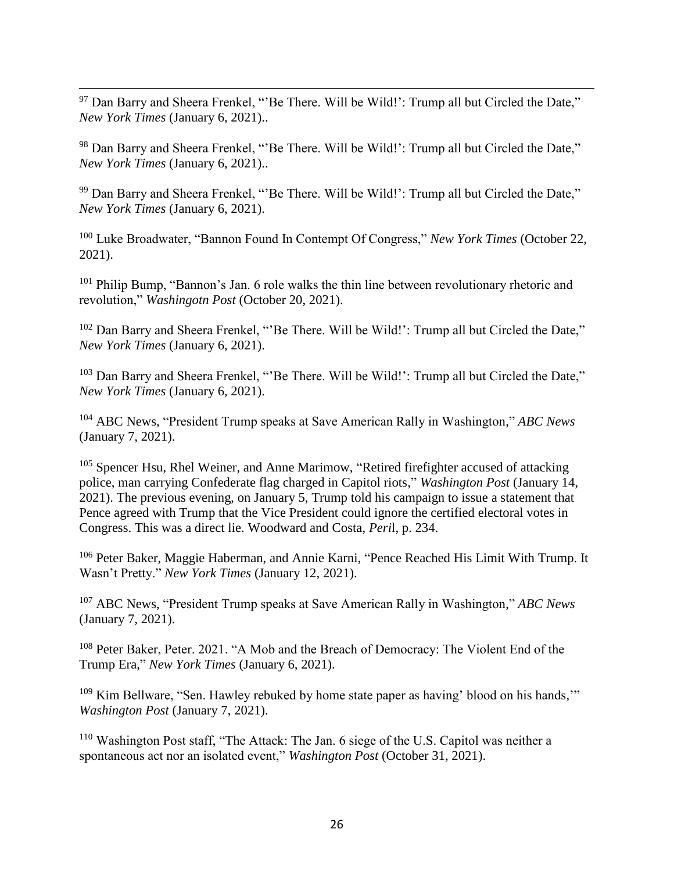$\overline{a}$  $97$  Dan Barry and Sheera Frenkel, "'Be There. Will be Wild!': Trump all but Circled the Date," *New York Times* (January 6, 2021)..

98 Dan Barry and Sheera Frenkel, "'Be There. Will be Wild!': Trump all but Circled the Date," *New York Times* (January 6, 2021)..

<sup>99</sup> Dan Barry and Sheera Frenkel, "'Be There. Will be Wild!': Trump all but Circled the Date," *New York Times* (January 6, 2021).

<sup>100</sup> Luke Broadwater, "Bannon Found In Contempt Of Congress," *New York Times* (October 22, 2021).

<sup>101</sup> Philip Bump, "Bannon's Jan. 6 role walks the thin line between revolutionary rhetoric and revolution," *Washingotn Post* (October 20, 2021).

<sup>102</sup> Dan Barry and Sheera Frenkel, "'Be There. Will be Wild!': Trump all but Circled the Date," *New York Times* (January 6, 2021).

<sup>103</sup> Dan Barry and Sheera Frenkel, "'Be There. Will be Wild!': Trump all but Circled the Date," *New York Times* (January 6, 2021).

<sup>104</sup> ABC News, "President Trump speaks at Save American Rally in Washington," *ABC News* (January 7, 2021).

 $105$  Spencer Hsu, Rhel Weiner, and Anne Marimow, "Retired firefighter accused of attacking police, man carrying Confederate flag charged in Capitol riots," *Washington Post* (January 14, 2021). The previous evening, on January 5, Trump told his campaign to issue a statement that Pence agreed with Trump that the Vice President could ignore the certified electoral votes in Congress. This was a direct lie. Woodward and Costa, *Peri*l, p. 234.

<sup>106</sup> Peter Baker, Maggie Haberman, and Annie Karni, "Pence Reached His Limit With Trump. It Wasn't Pretty." *New York Times* (January 12, 2021).

<sup>107</sup> ABC News, "President Trump speaks at Save American Rally in Washington," *ABC News* (January 7, 2021).

<sup>108</sup> Peter Baker, Peter. 2021. "A Mob and the Breach of Democracy: The Violent End of the Trump Era," *New York Times* (January 6, 2021).

<sup>109</sup> Kim Bellware, "Sen. Hawley rebuked by home state paper as having' blood on his hands,"" *Washington Post* (January 7, 2021).

<sup>110</sup> Washington Post staff, "The Attack: The Jan. 6 siege of the U.S. Capitol was neither a spontaneous act nor an isolated event," *Washington Post* (October 31, 2021).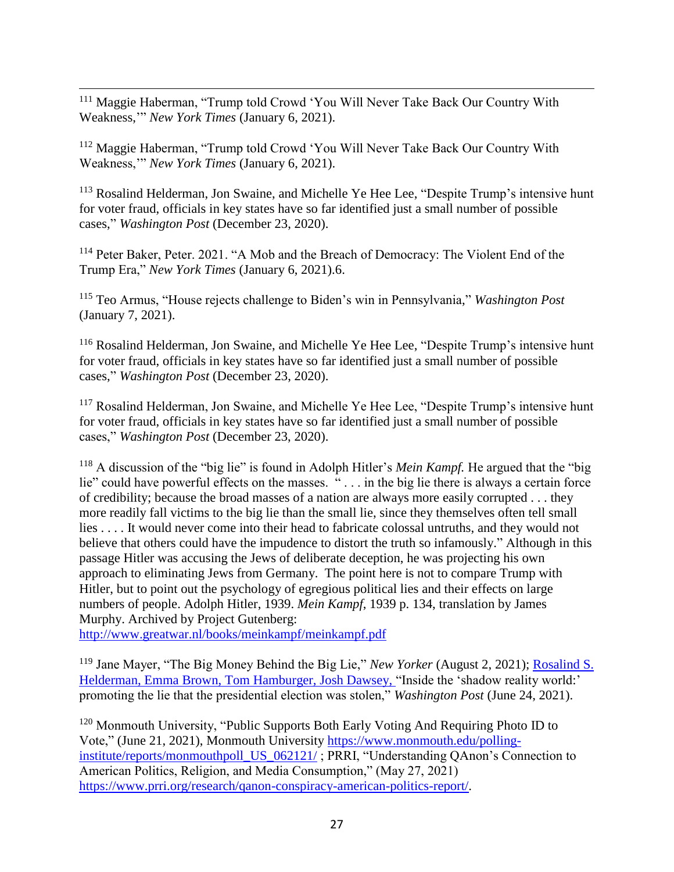$\overline{a}$ <sup>111</sup> Maggie Haberman, "Trump told Crowd 'You Will Never Take Back Our Country With Weakness,'" *New York Times* (January 6, 2021).

<sup>112</sup> Maggie Haberman, "Trump told Crowd 'You Will Never Take Back Our Country With Weakness,'" *New York Times* (January 6, 2021).

<sup>113</sup> Rosalind Helderman, Jon Swaine, and Michelle Ye Hee Lee, "Despite Trump's intensive hunt for voter fraud, officials in key states have so far identified just a small number of possible cases," *Washington Post* (December 23, 2020).

<sup>114</sup> Peter Baker, Peter. 2021. "A Mob and the Breach of Democracy: The Violent End of the Trump Era," *New York Times* (January 6, 2021).6.

<sup>115</sup> Teo Armus, "House rejects challenge to Biden's win in Pennsylvania," *Washington Post* (January 7, 2021).

<sup>116</sup> Rosalind Helderman, Jon Swaine, and Michelle Ye Hee Lee, "Despite Trump's intensive hunt for voter fraud, officials in key states have so far identified just a small number of possible cases," *Washington Post* (December 23, 2020).

<sup>117</sup> Rosalind Helderman, Jon Swaine, and Michelle Ye Hee Lee, "Despite Trump's intensive hunt for voter fraud, officials in key states have so far identified just a small number of possible cases," *Washington Post* (December 23, 2020).

<sup>118</sup> A discussion of the "big lie" is found in Adolph Hitler's *Mein Kampf.* He argued that the "big lie" could have powerful effects on the masses. " . . . in the big lie there is always a certain force of credibility; because the broad masses of a nation are always more easily corrupted . . . they more readily fall victims to the big lie than the small lie, since they themselves often tell small lies . . . . It would never come into their head to fabricate colossal untruths, and they would not believe that others could have the impudence to distort the truth so infamously." Although in this passage Hitler was accusing the Jews of deliberate deception, he was projecting his own approach to eliminating Jews from Germany. The point here is not to compare Trump with Hitler, but to point out the psychology of egregious political lies and their effects on large numbers of people. Adolph Hitler, 1939. *Mein Kampf*, 1939 p. 134, translation by James Murphy. Archived by Project Gutenberg:

<http://www.greatwar.nl/books/meinkampf/meinkampf.pdf>

<sup>119</sup> Jane Mayer, "The Big Money Behind the Big Lie," *New Yorker* (August 2, 2021); [Rosalind S.](https://www.washingtonpost.com/people/rosalind-s-helderman/)  [Helderman,](https://www.washingtonpost.com/people/rosalind-s-helderman/) [Emma Brown,](https://www.washingtonpost.com/people/emma-brown/) [Tom Hamburger,](https://www.washingtonpost.com/people/tom-hamburger/) [Josh Dawsey,](https://www.washingtonpost.com/people/josh-dawsey/) "Inside the 'shadow reality world:' promoting the lie that the presidential election was stolen," *Washington Post* (June 24, 2021).

<sup>120</sup> Monmouth University, "Public Supports Both Early Voting And Requiring Photo ID to Vote," (June 21, 2021), Monmouth University [https://www.monmouth.edu/polling](https://www.monmouth.edu/polling-institute/reports/monmouthpoll_US_062121/)[institute/reports/monmouthpoll\\_US\\_062121/](https://www.monmouth.edu/polling-institute/reports/monmouthpoll_US_062121/) ; PRRI, "Understanding QAnon's Connection to American Politics, Religion, and Media Consumption," (May 27, 2021) [https://www.prri.org/research/qanon-conspiracy-american-politics-report/.](https://www.prri.org/research/qanon-conspiracy-american-politics-report/)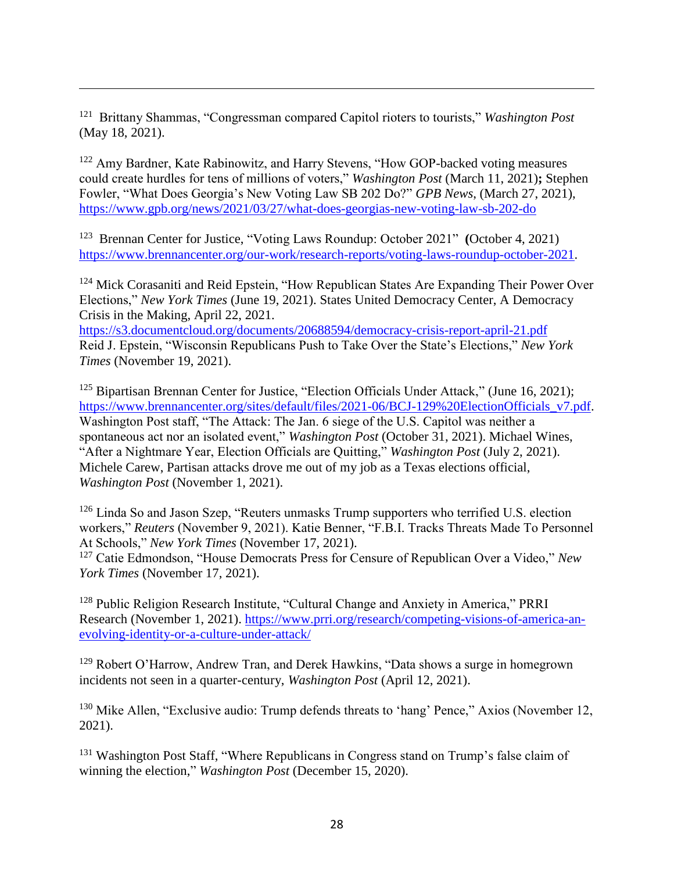121 Brittany Shammas, "Congressman compared Capitol rioters to tourists," *Washington Post* (May 18, 2021).

 $\overline{a}$ 

<sup>122</sup> Amy Bardner, Kate Rabinowitz, and Harry Stevens, "How GOP-backed voting measures could create hurdles for tens of millions of voters," *Washington Post* (March 11, 2021)**;** Stephen Fowler, "What Does Georgia's New Voting Law SB 202 Do?" *GPB News*, (March 27, 2021), <https://www.gpb.org/news/2021/03/27/what-does-georgias-new-voting-law-sb-202-do>

<sup>123</sup> Brennan Center for Justice, "Voting Laws Roundup: October 2021" **(**October 4, 2021) [https://www.brennancenter.org/our-work/research-reports/voting-laws-roundup-october-2021.](https://www.brennancenter.org/our-work/research-reports/voting-laws-roundup-october-2021)

<sup>124</sup> Mick Corasaniti and Reid Epstein, "How Republican States Are Expanding Their Power Over Elections," *New York Times* (June 19, 2021). States United Democracy Center, A Democracy Crisis in the Making, April 22, 2021. <https://s3.documentcloud.org/documents/20688594/democracy-crisis-report-april-21.pdf>

Reid J. Epstein, "Wisconsin Republicans Push to Take Over the State's Elections," *New York Times* (November 19, 2021).

 $125$  Bipartisan Brennan Center for Justice, "Election Officials Under Attack," (June 16, 2021); [https://www.brennancenter.org/sites/default/files/2021-06/BCJ-129%20ElectionOfficials\\_v7.pdf.](https://www.brennancenter.org/sites/default/files/2021-06/BCJ-129%20ElectionOfficials_v7.pdf) Washington Post staff, "The Attack: The Jan. 6 siege of the U.S. Capitol was neither a spontaneous act nor an isolated event," *Washington Post* (October 31, 2021). Michael Wines, "After a Nightmare Year, Election Officials are Quitting," *Washington Post* (July 2, 2021). Michele Carew, Partisan attacks drove me out of my job as a Texas elections official, *Washington Post* (November 1, 2021).

<sup>126</sup> Linda So and Jason Szep, "Reuters unmasks Trump supporters who terrified U.S. election workers," *Reuters* (November 9, 2021). Katie Benner, "F.B.I. Tracks Threats Made To Personnel At Schools," *New York Times* (November 17, 2021).

<sup>127</sup> Catie Edmondson, "House Democrats Press for Censure of Republican Over a Video," *New York Times* (November 17, 2021).

<sup>128</sup> Public Religion Research Institute, "Cultural Change and Anxiety in America," PRRI Research (November 1, 2021). [https://www.prri.org/research/competing-visions-of-america-an](https://www.prri.org/research/competing-visions-of-america-an-evolving-identity-or-a-culture-under-attack/)[evolving-identity-or-a-culture-under-attack/](https://www.prri.org/research/competing-visions-of-america-an-evolving-identity-or-a-culture-under-attack/)

<sup>129</sup> Robert O'Harrow, Andrew Tran, and Derek Hawkins, "Data shows a surge in homegrown incidents not seen in a quarter-century, *Washington Post* (April 12, 2021).

<sup>130</sup> Mike Allen, "Exclusive audio: Trump defends threats to 'hang' Pence," Axios (November 12, 2021).

<sup>131</sup> Washington Post Staff, "Where Republicans in Congress stand on Trump's false claim of winning the election," *Washington Post* (December 15, 2020).